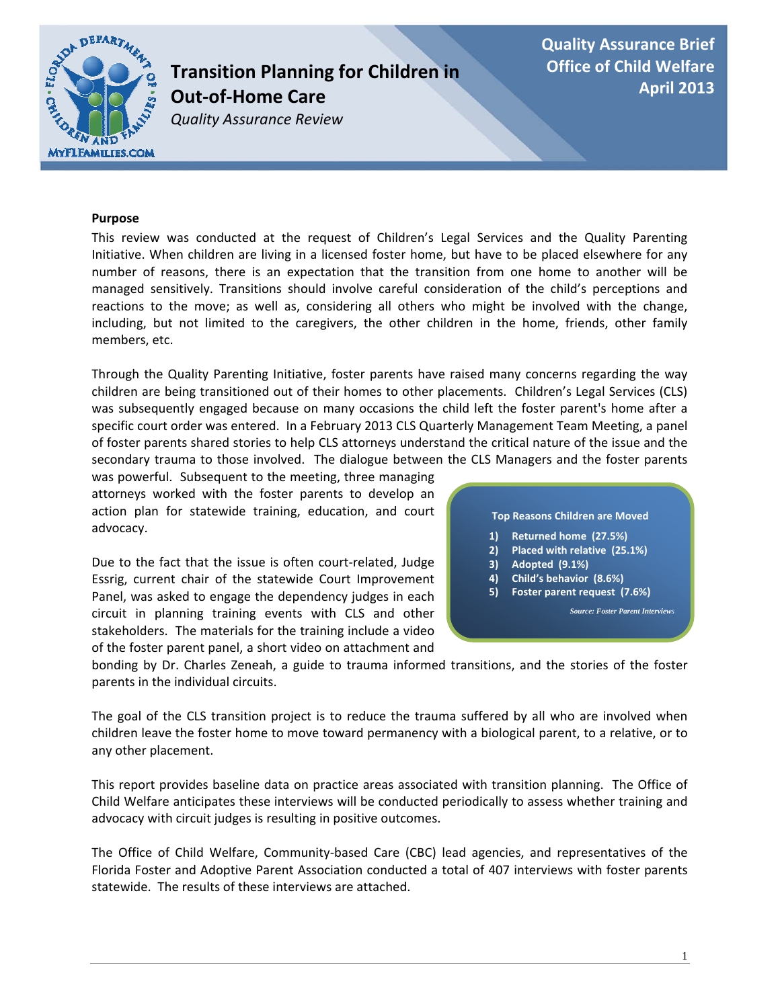

# **Transition Planning for Children in Out‐of‐Home Care**

*Quality Assurance Review*

**Quality Assurance Brief Office of Child Welfare April 2013**

### **Purpose**

This review was conducted at the request of Children's Legal Services and the Quality Parenting Initiative. When children are living in a licensed foster home, but have to be placed elsewhere for any number of reasons, there is an expectation that the transition from one home to another will be managed sensitively. Transitions should involve careful consideration of the child's perceptions and reactions to the move; as well as, considering all others who might be involved with the change, including, but not limited to the caregivers, the other children in the home, friends, other family members, etc.

Through the Quality Parenting Initiative, foster parents have raised many concerns regarding the way children are being transitioned out of their homes to other placements. Children's Legal Services (CLS) was subsequently engaged because on many occasions the child left the foster parent's home after a specific court order was entered. In a February 2013 CLS Quarterly Management Team Meeting, a panel of foster parents shared stories to help CLS attorneys understand the critical nature of the issue and the secondary trauma to those involved. The dialogue between the CLS Managers and the foster parents

was powerful. Subsequent to the meeting, three managing attorneys worked with the foster parents to develop an action plan for statewide training, education, and court advocacy.

Due to the fact that the issue is often court‐related, Judge Essrig, current chair of the statewide Court Improvement Panel, was asked to engage the dependency judges in each circuit in planning training events with CLS and other stakeholders. The materials for the training include a video of the foster parent panel, a short video on attachment and

#### **Top Reasons Children are Moved**

- **1) Returned home (27.5%)**
- **2) Placed with relative (25.1%)**
- **3) Adopted (9.1%)**
- **4) Child's behavior (8.6%)**
- **5) Foster parent request (7.6%)**

*Source: Foster Parent Interviews* 

bonding by Dr. Charles Zeneah, a guide to trauma informed transitions, and the stories of the foster parents in the individual circuits.

The goal of the CLS transition project is to reduce the trauma suffered by all who are involved when children leave the foster home to move toward permanency with a biological parent, to a relative, or to any other placement.

This report provides baseline data on practice areas associated with transition planning. The Office of Child Welfare anticipates these interviews will be conducted periodically to assess whether training and advocacy with circuit judges is resulting in positive outcomes.

The Office of Child Welfare, Community-based Care (CBC) lead agencies, and representatives of the Florida Foster and Adoptive Parent Association conducted a total of 407 interviews with foster parents statewide. The results of these interviews are attached.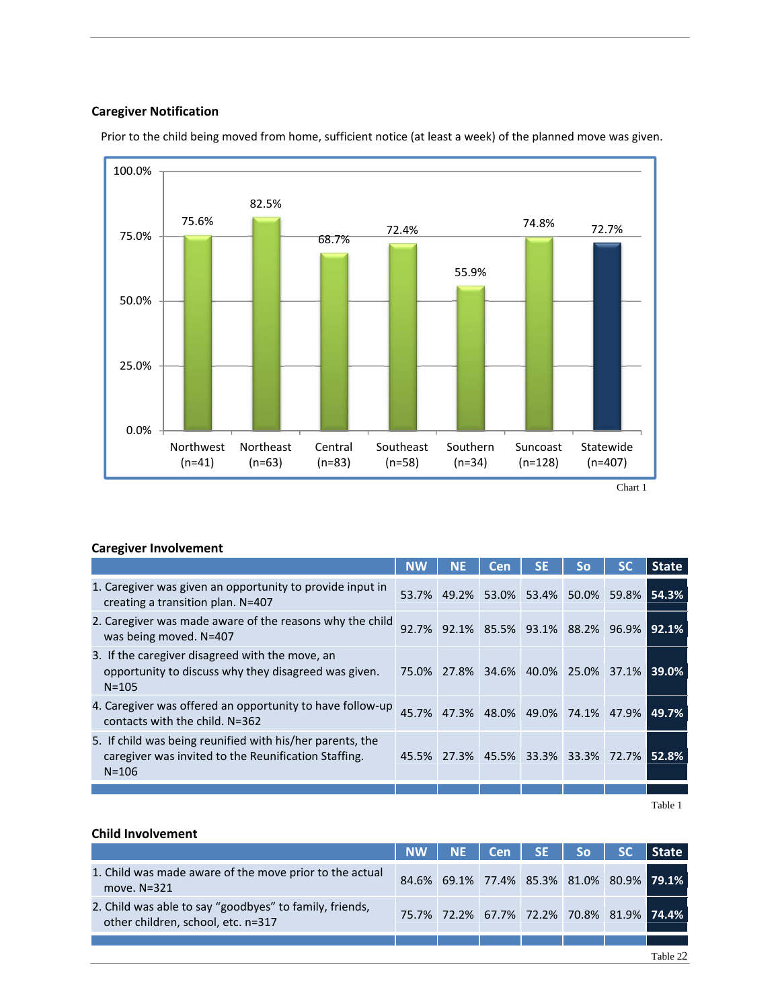### **Caregiver Notification**



Prior to the child being moved from home, sufficient notice (at least a week) of the planned move was given.

### **Caregiver Involvement**

|                                                                                                                                | <b>NW</b> | <b>NE</b> | Cen                                       | <b>SE</b> | So | <b>State</b> |
|--------------------------------------------------------------------------------------------------------------------------------|-----------|-----------|-------------------------------------------|-----------|----|--------------|
| 1. Caregiver was given an opportunity to provide input in<br>creating a transition plan. N=407                                 |           |           | 53.7% 49.2% 53.0% 53.4% 50.0% 59.8%       |           |    | l 54.3%      |
| 2. Caregiver was made aware of the reasons why the child<br>was being moved. N=407                                             | 92.7%     |           | 92.1% 85.5% 93.1% 88.2% 96.9%             |           |    | l 92.1%      |
| 3. If the caregiver disagreed with the move, an<br>opportunity to discuss why they disagreed was given.<br>$N = 105$           |           |           | 75.0% 27.8% 34.6% 40.0% 25.0% 37.1% 39.0% |           |    |              |
| 4. Caregiver was offered an opportunity to have follow-up<br>contacts with the child. $N=362$                                  | 45.7%     |           | 47.3% 48.0% 49.0% 74.1% 47.9%             |           |    | 49.7%        |
| 5. If child was being reunified with his/her parents, the<br>caregiver was invited to the Reunification Staffing.<br>$N = 106$ |           |           | 45.5% 27.3% 45.5% 33.3% 33.3% 72.7% 52.8% |           |    |              |
|                                                                                                                                |           |           |                                           |           |    |              |

Table 1

### **Child Involvement**

|                                                                                               |  | NW   NE   Cen   SE   So   SC              |  | l State I |
|-----------------------------------------------------------------------------------------------|--|-------------------------------------------|--|-----------|
| 1. Child was made aware of the move prior to the actual<br>move. $N=321$                      |  | 84.6% 69.1% 77.4% 85.3% 81.0% 80.9% 79.1% |  |           |
| 2. Child was able to say "goodbyes" to family, friends,<br>other children, school, etc. n=317 |  | 75.7% 72.2% 67.7% 72.2% 70.8% 81.9% 74.4% |  |           |
|                                                                                               |  |                                           |  |           |
|                                                                                               |  |                                           |  | Table 22  |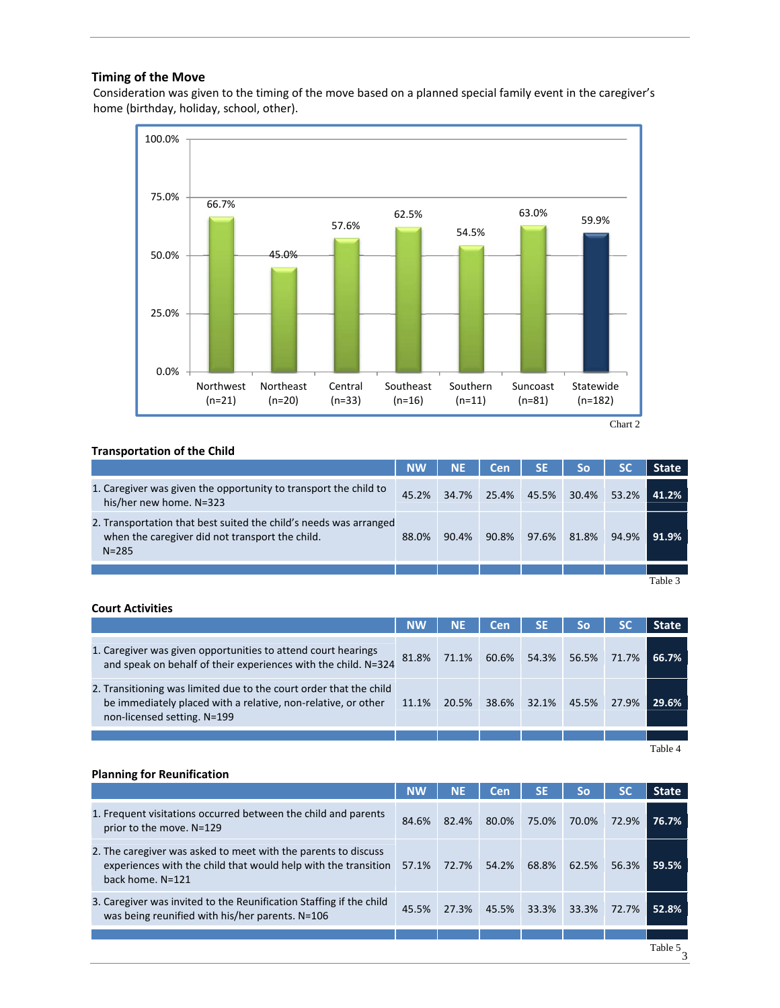### **Timing of the Move**

Consideration was given to the timing of the move based on a planned special family event in the caregiver's home (birthday, holiday, school, other).



#### **Transportation of the Child**

|                                                                                                                                   | <b>NW</b> | <b>NE</b> | Cen   | <b>SE</b>   | <b>So</b> | <b>SC</b> | <b>State</b>       |
|-----------------------------------------------------------------------------------------------------------------------------------|-----------|-----------|-------|-------------|-----------|-----------|--------------------|
| 1. Caregiver was given the opportunity to transport the child to<br>his/her new home. N=323                                       | 45.2%     | 34.7%     |       | 25.4% 45.5% | 30.4%     | 53.2%     | 41.2%              |
| 2. Transportation that best suited the child's needs was arranged<br>when the caregiver did not transport the child.<br>$N = 285$ | 88.0%     | 90.4%     | 90.8% | 97.6%       | 81.8%     | 94.9%     | 91.9%              |
|                                                                                                                                   |           |           |       |             |           |           |                    |
|                                                                                                                                   |           |           |       |             |           |           | Table <sup>1</sup> |

### **Court Activities**

|                                                                                                                                                                    | <b>NW</b> | NE.   | <b>Cen</b> | <b>SE</b>   | So    | <b>SC</b> | <b>State</b> |
|--------------------------------------------------------------------------------------------------------------------------------------------------------------------|-----------|-------|------------|-------------|-------|-----------|--------------|
| 1. Caregiver was given opportunities to attend court hearings<br>and speak on behalf of their experiences with the child. N=324                                    | 81.8%     | 71.1% |            | 60.6% 54.3% | 56.5% | 71.7%     | 66.7%        |
| 2. Transitioning was limited due to the court order that the child<br>be immediately placed with a relative, non-relative, or other<br>non-licensed setting. N=199 | 11.1%     | 20.5% | 38.6%      | 32.1%       | 45.5% | 27.9%     | 29.6%        |
|                                                                                                                                                                    |           |       |            |             |       |           |              |
|                                                                                                                                                                    |           |       |            |             |       |           | Table 4      |

Table 4

### **Planning for Reunification**

|                                                                                                                                                      | <b>NW</b> | <b>NE</b> | Cen               | <b>SE</b> | <b>So</b> | <b>SC</b> | <b>State</b> |
|------------------------------------------------------------------------------------------------------------------------------------------------------|-----------|-----------|-------------------|-----------|-----------|-----------|--------------|
| 1. Frequent visitations occurred between the child and parents<br>prior to the move. N=129                                                           | 84.6%     | 82.4%     | 80.0%             | 75.0%     | 70.0%     | 72.9%     | 76.7%        |
| 2. The caregiver was asked to meet with the parents to discuss<br>experiences with the child that would help with the transition<br>back home. N=121 | 57.1%     | 72.7%     | 54.2%             | 68.8%     | 62.5%     | 56.3%     | 59.5%        |
| 3. Caregiver was invited to the Reunification Staffing if the child<br>was being reunified with his/her parents. N=106                               | 45.5%     |           | 27.3% 45.5% 33.3% |           | 33.3%     | 72.7%     | 52.8%        |
|                                                                                                                                                      |           |           |                   |           |           |           |              |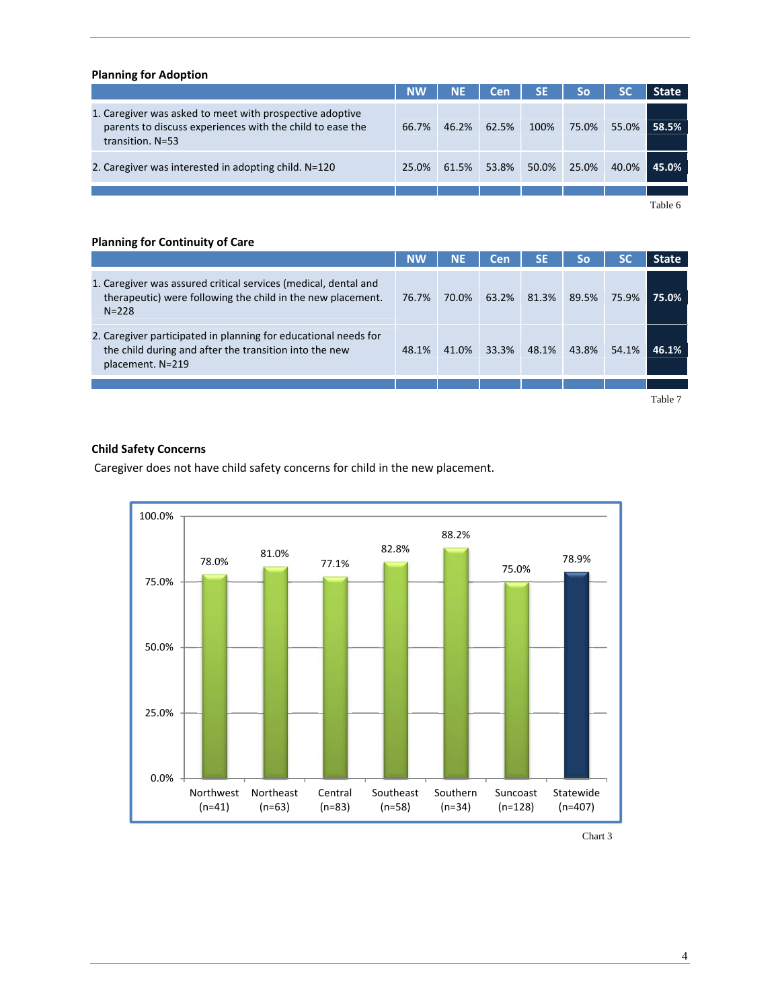#### **Planning for Adoption**

|                                                                                                                                           | <b>NW</b> | <b>NE</b> | Cen   | <b>SE</b> | So    | <b>SC</b> | <b>State</b> |
|-------------------------------------------------------------------------------------------------------------------------------------------|-----------|-----------|-------|-----------|-------|-----------|--------------|
| 1. Caregiver was asked to meet with prospective adoptive<br>parents to discuss experiences with the child to ease the<br>transition. N=53 | 66.7%     | 46.2%     | 62.5% | 100%      | 75.0% | 55.0%     | 58.5%        |
| 2. Caregiver was interested in adopting child. N=120                                                                                      | 25.0%     | 61.5%     | 53.8% | 50.0%     | 25.0% | 40.0%     | 45.0%        |
|                                                                                                                                           |           |           |       |           |       |           |              |
|                                                                                                                                           |           |           |       |           |       |           | $T-1.1 - C$  |

Table 6

### **Planning for Continuity of Care**

|                                                                                                                                               | <b>NW</b> | <b>NE</b> | Cen   | SE    | <b>So</b> |       | State   |
|-----------------------------------------------------------------------------------------------------------------------------------------------|-----------|-----------|-------|-------|-----------|-------|---------|
| 1. Caregiver was assured critical services (medical, dental and<br>therapeutic) were following the child in the new placement.<br>$N = 228$   | 76.7%     | 70.0%     | 63.2% | 81.3% | 89.5%     | 75.9% | 75.0%   |
| 2. Caregiver participated in planning for educational needs for<br>the child during and after the transition into the new<br>placement. N=219 | 48.1%     | 41.0%     | 33.3% | 48.1% | 43.8%     | 54.1% | 46.1%   |
|                                                                                                                                               |           |           |       |       |           |       |         |
|                                                                                                                                               |           |           |       |       |           |       | Table 7 |

### **Child Safety Concerns**

Caregiver does not have child safety concerns for child in the new placement.



Chart 3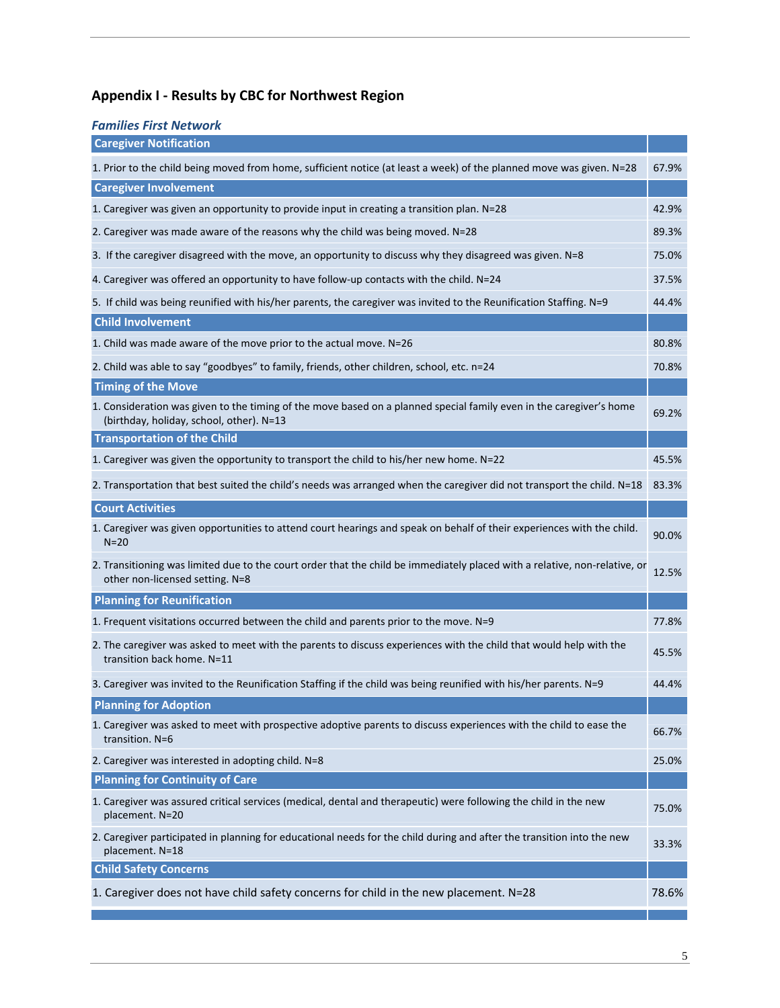# **Appendix I ‐ Results by CBC for Northwest Region**

| <b>Families First Network</b>                                                                                                                                   |       |
|-----------------------------------------------------------------------------------------------------------------------------------------------------------------|-------|
| <b>Caregiver Notification</b>                                                                                                                                   |       |
| 1. Prior to the child being moved from home, sufficient notice (at least a week) of the planned move was given. N=28                                            | 67.9% |
| <b>Caregiver Involvement</b>                                                                                                                                    |       |
| 1. Caregiver was given an opportunity to provide input in creating a transition plan. N=28                                                                      | 42.9% |
| 2. Caregiver was made aware of the reasons why the child was being moved. N=28                                                                                  | 89.3% |
| 3. If the caregiver disagreed with the move, an opportunity to discuss why they disagreed was given. N=8                                                        | 75.0% |
| 4. Caregiver was offered an opportunity to have follow-up contacts with the child. N=24                                                                         | 37.5% |
| 5. If child was being reunified with his/her parents, the caregiver was invited to the Reunification Staffing. N=9                                              | 44.4% |
| <b>Child Involvement</b>                                                                                                                                        |       |
| 1. Child was made aware of the move prior to the actual move. N=26                                                                                              | 80.8% |
| 2. Child was able to say "goodbyes" to family, friends, other children, school, etc. n=24                                                                       | 70.8% |
| <b>Timing of the Move</b>                                                                                                                                       |       |
| 1. Consideration was given to the timing of the move based on a planned special family even in the caregiver's home<br>(birthday, holiday, school, other). N=13 | 69.2% |
| <b>Transportation of the Child</b>                                                                                                                              |       |
| 1. Caregiver was given the opportunity to transport the child to his/her new home. N=22                                                                         | 45.5% |
| 2. Transportation that best suited the child's needs was arranged when the caregiver did not transport the child. N=18                                          | 83.3% |
| <b>Court Activities</b>                                                                                                                                         |       |
| 1. Caregiver was given opportunities to attend court hearings and speak on behalf of their experiences with the child.<br>$N = 20$                              | 90.0% |
| 2. Transitioning was limited due to the court order that the child be immediately placed with a relative, non-relative, or<br>other non-licensed setting. N=8   | 12.5% |
| <b>Planning for Reunification</b>                                                                                                                               |       |
| 1. Frequent visitations occurred between the child and parents prior to the move. N=9                                                                           | 77.8% |
| 2. The caregiver was asked to meet with the parents to discuss experiences with the child that would help with the<br>transition back home. N=11                | 45.5% |
| 3. Caregiver was invited to the Reunification Staffing if the child was being reunified with his/her parents. N=9                                               | 44.4% |
| <b>Planning for Adoption</b>                                                                                                                                    |       |
| 1. Caregiver was asked to meet with prospective adoptive parents to discuss experiences with the child to ease the<br>transition. N=6                           | 66.7% |
| 2. Caregiver was interested in adopting child. N=8                                                                                                              | 25.0% |
| <b>Planning for Continuity of Care</b>                                                                                                                          |       |
| 1. Caregiver was assured critical services (medical, dental and therapeutic) were following the child in the new<br>placement. N=20                             | 75.0% |
| 2. Caregiver participated in planning for educational needs for the child during and after the transition into the new<br>placement. N=18                       | 33.3% |
| <b>Child Safety Concerns</b>                                                                                                                                    |       |
| 1. Caregiver does not have child safety concerns for child in the new placement. N=28                                                                           | 78.6% |
|                                                                                                                                                                 |       |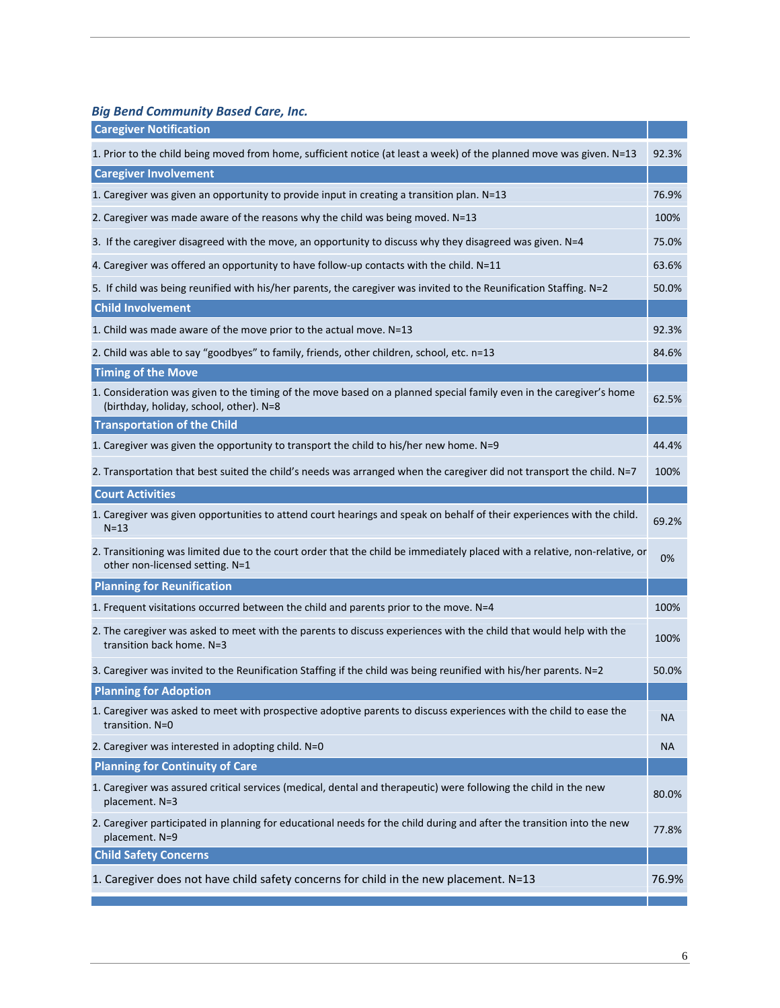*Big Bend Community Based Care, Inc.*

| <b>Caregiver Notification</b>                                                                                                                                  |           |
|----------------------------------------------------------------------------------------------------------------------------------------------------------------|-----------|
| 1. Prior to the child being moved from home, sufficient notice (at least a week) of the planned move was given. N=13                                           | 92.3%     |
| <b>Caregiver Involvement</b>                                                                                                                                   |           |
| 1. Caregiver was given an opportunity to provide input in creating a transition plan. N=13                                                                     | 76.9%     |
| 2. Caregiver was made aware of the reasons why the child was being moved. N=13                                                                                 | 100%      |
| 3. If the caregiver disagreed with the move, an opportunity to discuss why they disagreed was given. N=4                                                       | 75.0%     |
| 4. Caregiver was offered an opportunity to have follow-up contacts with the child. N=11                                                                        | 63.6%     |
| 5. If child was being reunified with his/her parents, the caregiver was invited to the Reunification Staffing. N=2                                             | 50.0%     |
| <b>Child Involvement</b>                                                                                                                                       |           |
| 1. Child was made aware of the move prior to the actual move. N=13                                                                                             | 92.3%     |
| 2. Child was able to say "goodbyes" to family, friends, other children, school, etc. n=13                                                                      | 84.6%     |
| <b>Timing of the Move</b>                                                                                                                                      |           |
| 1. Consideration was given to the timing of the move based on a planned special family even in the caregiver's home<br>(birthday, holiday, school, other). N=8 | 62.5%     |
| <b>Transportation of the Child</b>                                                                                                                             |           |
| 1. Caregiver was given the opportunity to transport the child to his/her new home. N=9                                                                         | 44.4%     |
| 2. Transportation that best suited the child's needs was arranged when the caregiver did not transport the child. N=7                                          | 100%      |
| <b>Court Activities</b>                                                                                                                                        |           |
| 1. Caregiver was given opportunities to attend court hearings and speak on behalf of their experiences with the child.<br>$N = 13$                             | 69.2%     |
| 2. Transitioning was limited due to the court order that the child be immediately placed with a relative, non-relative, or<br>other non-licensed setting. N=1  | 0%        |
| <b>Planning for Reunification</b>                                                                                                                              |           |
| 1. Frequent visitations occurred between the child and parents prior to the move. N=4                                                                          | 100%      |
| 2. The caregiver was asked to meet with the parents to discuss experiences with the child that would help with the<br>transition back home. N=3                | 100%      |
| 3. Caregiver was invited to the Reunification Staffing if the child was being reunified with his/her parents. N=2                                              | 50.0%     |
| <b>Planning for Adoption</b>                                                                                                                                   |           |
| 1. Caregiver was asked to meet with prospective adoptive parents to discuss experiences with the child to ease the<br>transition. N=0                          | <b>NA</b> |
| 2. Caregiver was interested in adopting child. N=0                                                                                                             | <b>NA</b> |
| <b>Planning for Continuity of Care</b>                                                                                                                         |           |
| 1. Caregiver was assured critical services (medical, dental and therapeutic) were following the child in the new<br>placement. N=3                             | 80.0%     |
| 2. Caregiver participated in planning for educational needs for the child during and after the transition into the new<br>placement. N=9                       | 77.8%     |
| <b>Child Safety Concerns</b>                                                                                                                                   |           |
| 1. Caregiver does not have child safety concerns for child in the new placement. N=13                                                                          | 76.9%     |
|                                                                                                                                                                |           |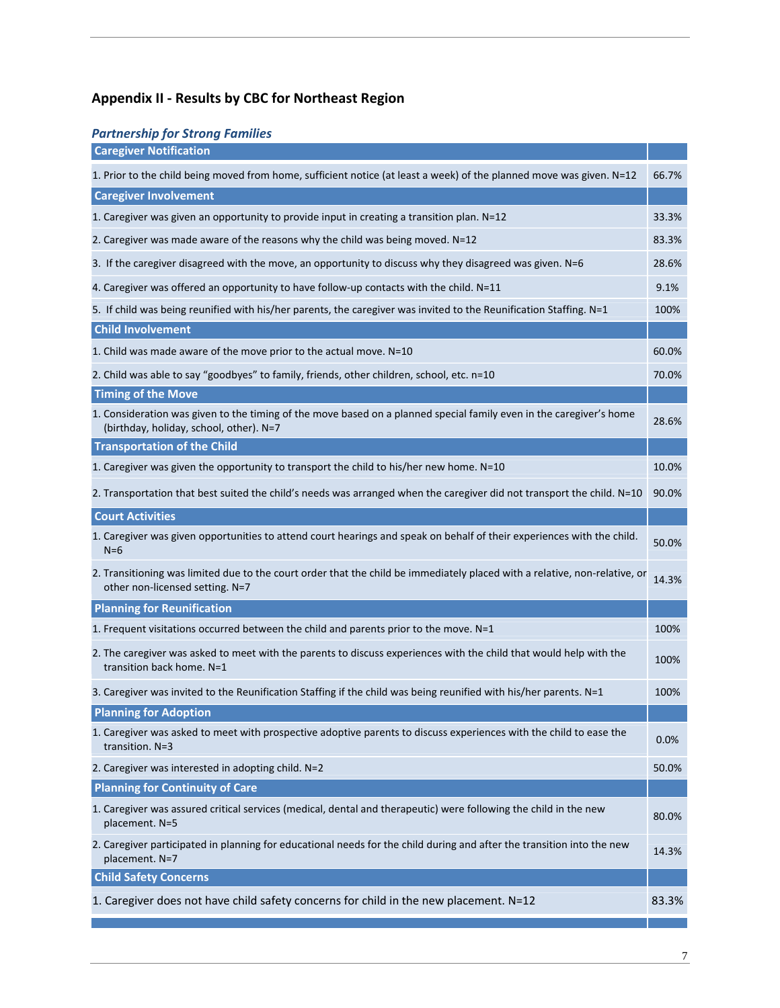## **Appendix II ‐ Results by CBC for Northeast Region**

### *Partnership for Strong Families*

| <b>Caregiver Notification</b>                                                                                                                                  |       |
|----------------------------------------------------------------------------------------------------------------------------------------------------------------|-------|
| 1. Prior to the child being moved from home, sufficient notice (at least a week) of the planned move was given. N=12                                           | 66.7% |
| <b>Caregiver Involvement</b>                                                                                                                                   |       |
| 1. Caregiver was given an opportunity to provide input in creating a transition plan. N=12                                                                     | 33.3% |
| 2. Caregiver was made aware of the reasons why the child was being moved. N=12                                                                                 | 83.3% |
| 3. If the caregiver disagreed with the move, an opportunity to discuss why they disagreed was given. N=6                                                       | 28.6% |
| 4. Caregiver was offered an opportunity to have follow-up contacts with the child. N=11                                                                        | 9.1%  |
| 5. If child was being reunified with his/her parents, the caregiver was invited to the Reunification Staffing. N=1                                             | 100%  |
| <b>Child Involvement</b>                                                                                                                                       |       |
| 1. Child was made aware of the move prior to the actual move. N=10                                                                                             | 60.0% |
| 2. Child was able to say "goodbyes" to family, friends, other children, school, etc. n=10                                                                      | 70.0% |
| <b>Timing of the Move</b>                                                                                                                                      |       |
| 1. Consideration was given to the timing of the move based on a planned special family even in the caregiver's home<br>(birthday, holiday, school, other). N=7 | 28.6% |
| <b>Transportation of the Child</b>                                                                                                                             |       |
| 1. Caregiver was given the opportunity to transport the child to his/her new home. N=10                                                                        | 10.0% |
| 2. Transportation that best suited the child's needs was arranged when the caregiver did not transport the child. N=10                                         | 90.0% |
| <b>Court Activities</b>                                                                                                                                        |       |
| 1. Caregiver was given opportunities to attend court hearings and speak on behalf of their experiences with the child.<br>$N=6$                                | 50.0% |
| 2. Transitioning was limited due to the court order that the child be immediately placed with a relative, non-relative, or<br>other non-licensed setting. N=7  | 14.3% |
| <b>Planning for Reunification</b>                                                                                                                              |       |
| 1. Frequent visitations occurred between the child and parents prior to the move. N=1                                                                          | 100%  |
| 2. The caregiver was asked to meet with the parents to discuss experiences with the child that would help with the<br>transition back home. N=1                | 100%  |
| 3. Caregiver was invited to the Reunification Staffing if the child was being reunified with his/her parents. N=1                                              | 100%  |
| <b>Planning for Adoption</b>                                                                                                                                   |       |
| 1. Caregiver was asked to meet with prospective adoptive parents to discuss experiences with the child to ease the<br>transition. N=3                          | 0.0%  |
| 2. Caregiver was interested in adopting child. N=2                                                                                                             | 50.0% |
| <b>Planning for Continuity of Care</b>                                                                                                                         |       |
| 1. Caregiver was assured critical services (medical, dental and therapeutic) were following the child in the new<br>placement. N=5                             | 80.0% |
| 2. Caregiver participated in planning for educational needs for the child during and after the transition into the new<br>placement. N=7                       | 14.3% |
| <b>Child Safety Concerns</b>                                                                                                                                   |       |
| 1. Caregiver does not have child safety concerns for child in the new placement. N=12                                                                          | 83.3% |
|                                                                                                                                                                |       |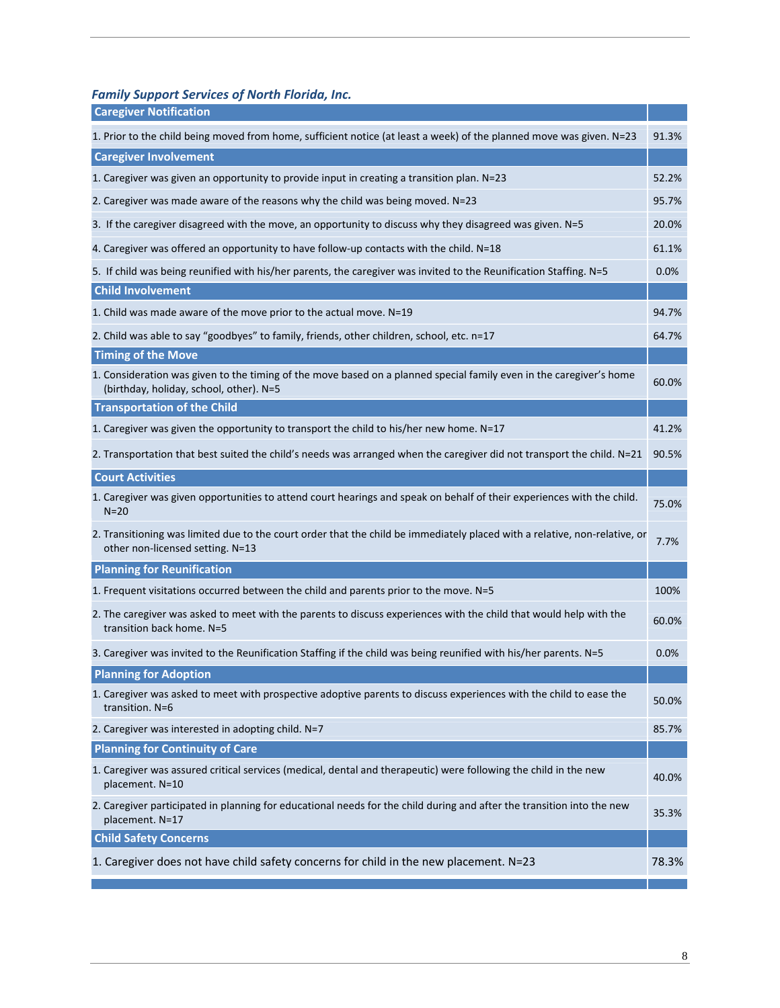*Family Support Services of North Florida, Inc.*

| <b>Caregiver Notification</b>                                                                                                                                  |       |
|----------------------------------------------------------------------------------------------------------------------------------------------------------------|-------|
| 1. Prior to the child being moved from home, sufficient notice (at least a week) of the planned move was given. N=23                                           | 91.3% |
| <b>Caregiver Involvement</b>                                                                                                                                   |       |
| 1. Caregiver was given an opportunity to provide input in creating a transition plan. N=23                                                                     | 52.2% |
| 2. Caregiver was made aware of the reasons why the child was being moved. N=23                                                                                 | 95.7% |
| 3. If the caregiver disagreed with the move, an opportunity to discuss why they disagreed was given. N=5                                                       | 20.0% |
| 4. Caregiver was offered an opportunity to have follow-up contacts with the child. N=18                                                                        | 61.1% |
| 5. If child was being reunified with his/her parents, the caregiver was invited to the Reunification Staffing. N=5                                             | 0.0%  |
| <b>Child Involvement</b>                                                                                                                                       |       |
| 1. Child was made aware of the move prior to the actual move. N=19                                                                                             | 94.7% |
| 2. Child was able to say "goodbyes" to family, friends, other children, school, etc. n=17                                                                      | 64.7% |
| <b>Timing of the Move</b>                                                                                                                                      |       |
| 1. Consideration was given to the timing of the move based on a planned special family even in the caregiver's home<br>(birthday, holiday, school, other). N=5 | 60.0% |
| <b>Transportation of the Child</b>                                                                                                                             |       |
| 1. Caregiver was given the opportunity to transport the child to his/her new home. N=17                                                                        | 41.2% |
| 2. Transportation that best suited the child's needs was arranged when the caregiver did not transport the child. N=21                                         | 90.5% |
| <b>Court Activities</b>                                                                                                                                        |       |
| 1. Caregiver was given opportunities to attend court hearings and speak on behalf of their experiences with the child.<br>$N = 20$                             | 75.0% |
| 2. Transitioning was limited due to the court order that the child be immediately placed with a relative, non-relative, or<br>other non-licensed setting. N=13 | 7.7%  |
| <b>Planning for Reunification</b>                                                                                                                              |       |
| 1. Frequent visitations occurred between the child and parents prior to the move. N=5                                                                          | 100%  |
| 2. The caregiver was asked to meet with the parents to discuss experiences with the child that would help with the<br>transition back home. N=5                | 60.0% |
| 3. Caregiver was invited to the Reunification Staffing if the child was being reunified with his/her parents. N=5                                              | 0.0%  |
| <b>Planning for Adoption</b>                                                                                                                                   |       |
| 1. Caregiver was asked to meet with prospective adoptive parents to discuss experiences with the child to ease the<br>transition. N=6                          | 50.0% |
| 2. Caregiver was interested in adopting child. N=7                                                                                                             | 85.7% |
| <b>Planning for Continuity of Care</b>                                                                                                                         |       |
| 1. Caregiver was assured critical services (medical, dental and therapeutic) were following the child in the new<br>placement. N=10                            | 40.0% |
| 2. Caregiver participated in planning for educational needs for the child during and after the transition into the new<br>placement. N=17                      | 35.3% |
| <b>Child Safety Concerns</b>                                                                                                                                   |       |
| 1. Caregiver does not have child safety concerns for child in the new placement. N=23                                                                          | 78.3% |
|                                                                                                                                                                |       |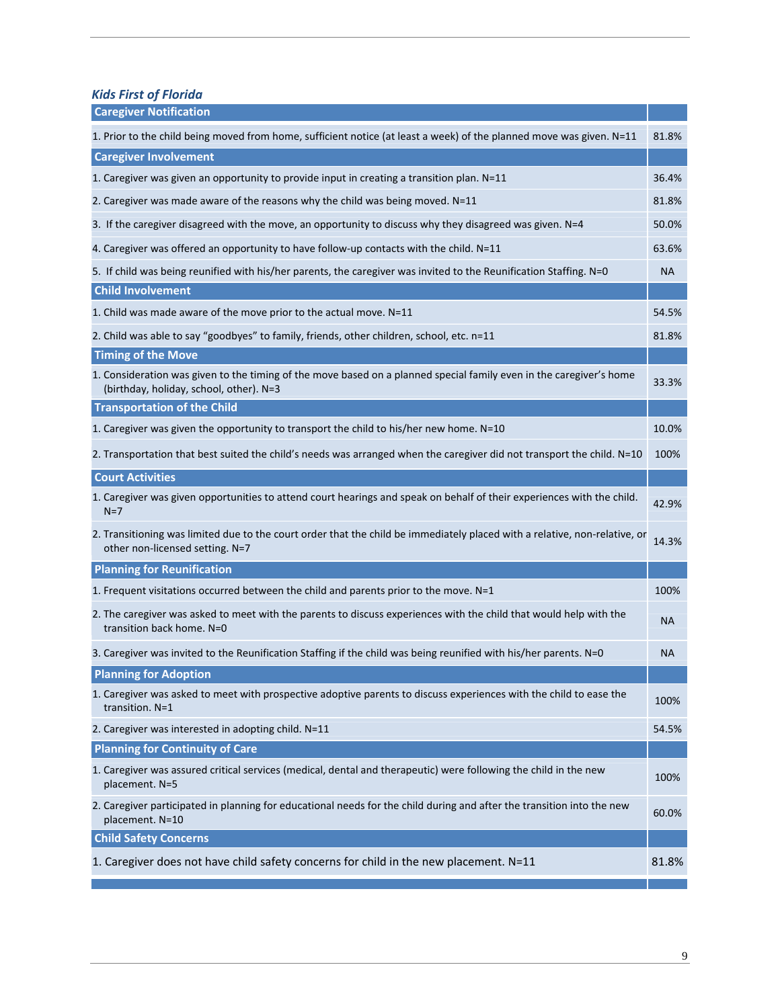*Kids First of Florida*

| <b>Caregiver Notification</b>                                                                                                                                  |           |
|----------------------------------------------------------------------------------------------------------------------------------------------------------------|-----------|
| 1. Prior to the child being moved from home, sufficient notice (at least a week) of the planned move was given. N=11                                           | 81.8%     |
| <b>Caregiver Involvement</b>                                                                                                                                   |           |
| 1. Caregiver was given an opportunity to provide input in creating a transition plan. N=11                                                                     | 36.4%     |
| 2. Caregiver was made aware of the reasons why the child was being moved. N=11                                                                                 | 81.8%     |
| 3. If the caregiver disagreed with the move, an opportunity to discuss why they disagreed was given. N=4                                                       | 50.0%     |
| 4. Caregiver was offered an opportunity to have follow-up contacts with the child. N=11                                                                        | 63.6%     |
| 5. If child was being reunified with his/her parents, the caregiver was invited to the Reunification Staffing. N=0                                             | <b>NA</b> |
| <b>Child Involvement</b>                                                                                                                                       |           |
| 1. Child was made aware of the move prior to the actual move. N=11                                                                                             | 54.5%     |
| 2. Child was able to say "goodbyes" to family, friends, other children, school, etc. n=11                                                                      | 81.8%     |
| <b>Timing of the Move</b>                                                                                                                                      |           |
| 1. Consideration was given to the timing of the move based on a planned special family even in the caregiver's home<br>(birthday, holiday, school, other). N=3 | 33.3%     |
| <b>Transportation of the Child</b>                                                                                                                             |           |
| 1. Caregiver was given the opportunity to transport the child to his/her new home. N=10                                                                        | 10.0%     |
| 2. Transportation that best suited the child's needs was arranged when the caregiver did not transport the child. N=10                                         | 100%      |
| <b>Court Activities</b>                                                                                                                                        |           |
| 1. Caregiver was given opportunities to attend court hearings and speak on behalf of their experiences with the child.<br>$N=7$                                | 42.9%     |
| 2. Transitioning was limited due to the court order that the child be immediately placed with a relative, non-relative, or<br>other non-licensed setting. N=7  | 14.3%     |
| <b>Planning for Reunification</b>                                                                                                                              |           |
| 1. Frequent visitations occurred between the child and parents prior to the move. N=1                                                                          | 100%      |
| 2. The caregiver was asked to meet with the parents to discuss experiences with the child that would help with the<br>transition back home. N=0                | NA        |
| 3. Caregiver was invited to the Reunification Staffing if the child was being reunified with his/her parents. N=0                                              | <b>NA</b> |
| <b>Planning for Adoption</b>                                                                                                                                   |           |
| 1. Caregiver was asked to meet with prospective adoptive parents to discuss experiences with the child to ease the<br>transition. N=1                          | 100%      |
| 2. Caregiver was interested in adopting child. N=11                                                                                                            | 54.5%     |
| <b>Planning for Continuity of Care</b>                                                                                                                         |           |
| 1. Caregiver was assured critical services (medical, dental and therapeutic) were following the child in the new<br>placement. N=5                             | 100%      |
| 2. Caregiver participated in planning for educational needs for the child during and after the transition into the new<br>placement. N=10                      | 60.0%     |
| <b>Child Safety Concerns</b>                                                                                                                                   |           |
| 1. Caregiver does not have child safety concerns for child in the new placement. N=11                                                                          | 81.8%     |
|                                                                                                                                                                |           |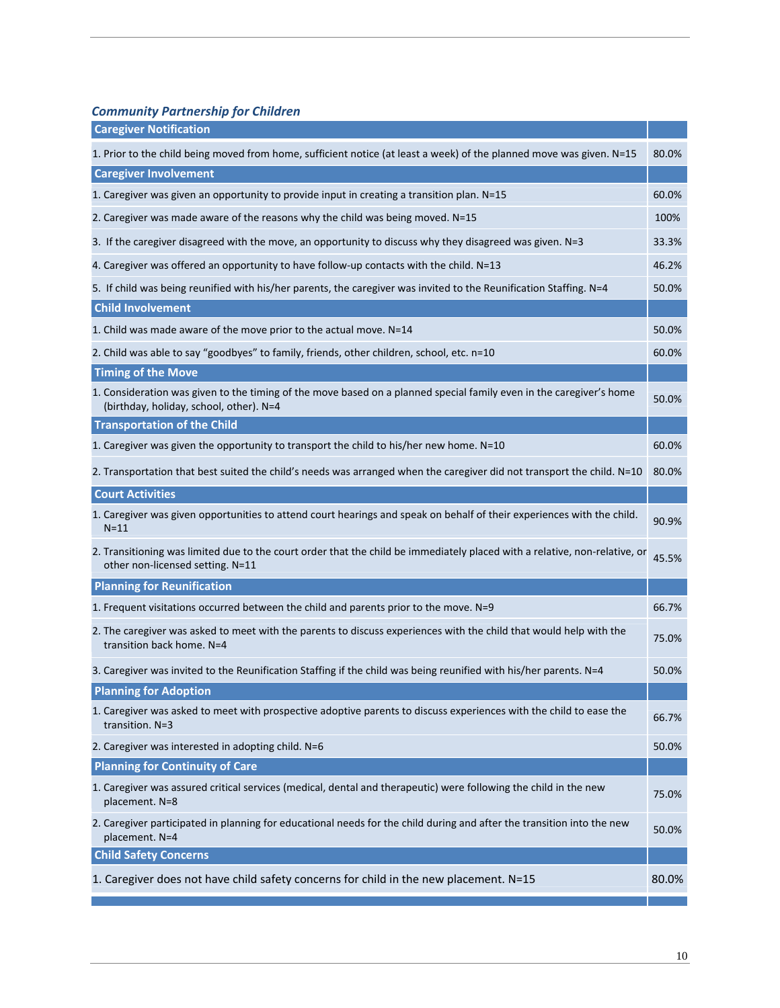*Community Partnership for Children*

| <b>Caregiver Notification</b>                                                                                                                                  |       |
|----------------------------------------------------------------------------------------------------------------------------------------------------------------|-------|
| 1. Prior to the child being moved from home, sufficient notice (at least a week) of the planned move was given. N=15                                           | 80.0% |
| <b>Caregiver Involvement</b>                                                                                                                                   |       |
| 1. Caregiver was given an opportunity to provide input in creating a transition plan. N=15                                                                     | 60.0% |
| 2. Caregiver was made aware of the reasons why the child was being moved. N=15                                                                                 | 100%  |
| 3. If the caregiver disagreed with the move, an opportunity to discuss why they disagreed was given. N=3                                                       | 33.3% |
| 4. Caregiver was offered an opportunity to have follow-up contacts with the child. N=13                                                                        | 46.2% |
| 5. If child was being reunified with his/her parents, the caregiver was invited to the Reunification Staffing. N=4                                             | 50.0% |
| <b>Child Involvement</b>                                                                                                                                       |       |
| 1. Child was made aware of the move prior to the actual move. N=14                                                                                             | 50.0% |
| 2. Child was able to say "goodbyes" to family, friends, other children, school, etc. n=10                                                                      | 60.0% |
| <b>Timing of the Move</b>                                                                                                                                      |       |
| 1. Consideration was given to the timing of the move based on a planned special family even in the caregiver's home<br>(birthday, holiday, school, other). N=4 | 50.0% |
| <b>Transportation of the Child</b>                                                                                                                             |       |
| 1. Caregiver was given the opportunity to transport the child to his/her new home. N=10                                                                        | 60.0% |
| 2. Transportation that best suited the child's needs was arranged when the caregiver did not transport the child. N=10                                         | 80.0% |
| <b>Court Activities</b>                                                                                                                                        |       |
| 1. Caregiver was given opportunities to attend court hearings and speak on behalf of their experiences with the child.<br>$N = 11$                             | 90.9% |
| 2. Transitioning was limited due to the court order that the child be immediately placed with a relative, non-relative, or<br>other non-licensed setting. N=11 | 45.5% |
| <b>Planning for Reunification</b>                                                                                                                              |       |
| 1. Frequent visitations occurred between the child and parents prior to the move. N=9                                                                          | 66.7% |
| 2. The caregiver was asked to meet with the parents to discuss experiences with the child that would help with the<br>transition back home. N=4                | 75.0% |
| 3. Caregiver was invited to the Reunification Staffing if the child was being reunified with his/her parents. N=4                                              | 50.0% |
| <b>Planning for Adoption</b>                                                                                                                                   |       |
| 1. Caregiver was asked to meet with prospective adoptive parents to discuss experiences with the child to ease the<br>transition. N=3                          | 66.7% |
| 2. Caregiver was interested in adopting child. N=6                                                                                                             | 50.0% |
| <b>Planning for Continuity of Care</b>                                                                                                                         |       |
| 1. Caregiver was assured critical services (medical, dental and therapeutic) were following the child in the new<br>placement. N=8                             | 75.0% |
| 2. Caregiver participated in planning for educational needs for the child during and after the transition into the new<br>placement. N=4                       | 50.0% |
| <b>Child Safety Concerns</b>                                                                                                                                   |       |
| 1. Caregiver does not have child safety concerns for child in the new placement. N=15                                                                          | 80.0% |
|                                                                                                                                                                |       |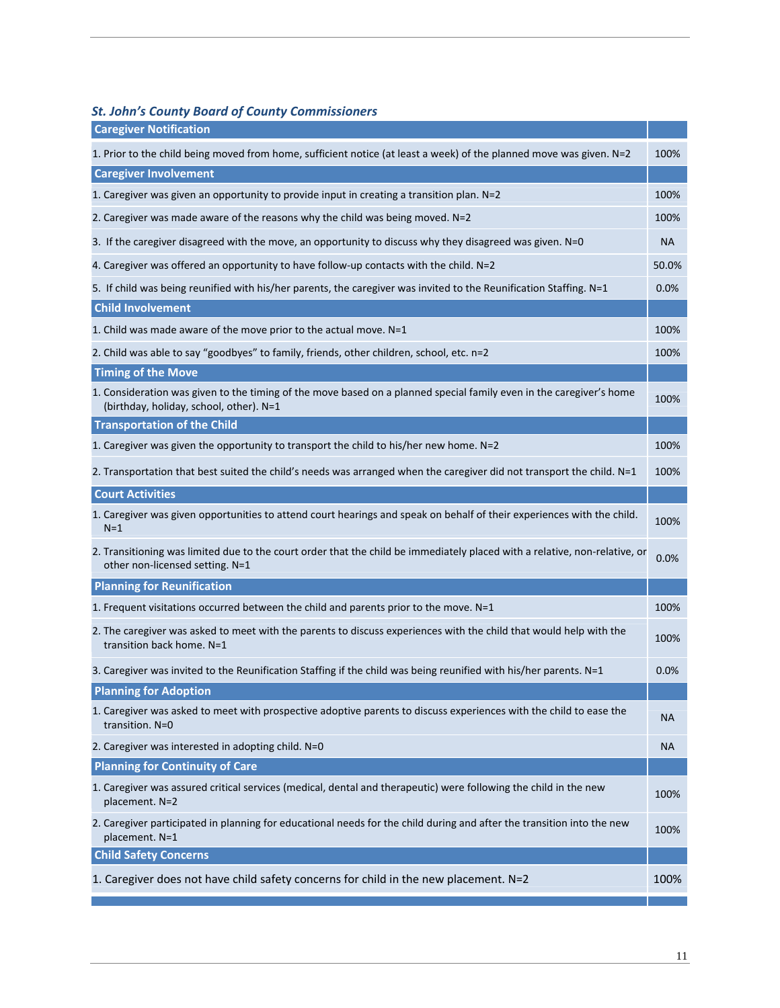### *St. John's County Board of County Commissioners*

| <b>Caregiver Notification</b>                                                                                                                                  |           |
|----------------------------------------------------------------------------------------------------------------------------------------------------------------|-----------|
| 1. Prior to the child being moved from home, sufficient notice (at least a week) of the planned move was given. N=2                                            | 100%      |
| <b>Caregiver Involvement</b>                                                                                                                                   |           |
| 1. Caregiver was given an opportunity to provide input in creating a transition plan. N=2                                                                      | 100%      |
| 2. Caregiver was made aware of the reasons why the child was being moved. $N=2$                                                                                | 100%      |
| 3. If the caregiver disagreed with the move, an opportunity to discuss why they disagreed was given. N=0                                                       | NA        |
| 4. Caregiver was offered an opportunity to have follow-up contacts with the child. N=2                                                                         | 50.0%     |
| 5. If child was being reunified with his/her parents, the caregiver was invited to the Reunification Staffing. N=1                                             | 0.0%      |
| <b>Child Involvement</b>                                                                                                                                       |           |
| 1. Child was made aware of the move prior to the actual move. N=1                                                                                              | 100%      |
| 2. Child was able to say "goodbyes" to family, friends, other children, school, etc. n=2                                                                       | 100%      |
| <b>Timing of the Move</b>                                                                                                                                      |           |
| 1. Consideration was given to the timing of the move based on a planned special family even in the caregiver's home<br>(birthday, holiday, school, other). N=1 | 100%      |
| <b>Transportation of the Child</b>                                                                                                                             |           |
| 1. Caregiver was given the opportunity to transport the child to his/her new home. N=2                                                                         | 100%      |
| 2. Transportation that best suited the child's needs was arranged when the caregiver did not transport the child. N=1                                          | 100%      |
| <b>Court Activities</b>                                                                                                                                        |           |
| 1. Caregiver was given opportunities to attend court hearings and speak on behalf of their experiences with the child.<br>$N=1$                                | 100%      |
| 2. Transitioning was limited due to the court order that the child be immediately placed with a relative, non-relative, or<br>other non-licensed setting. N=1  | 0.0%      |
| <b>Planning for Reunification</b>                                                                                                                              |           |
| 1. Frequent visitations occurred between the child and parents prior to the move. N=1                                                                          | 100%      |
| 2. The caregiver was asked to meet with the parents to discuss experiences with the child that would help with the<br>transition back home. N=1                | 100%      |
| 3. Caregiver was invited to the Reunification Staffing if the child was being reunified with his/her parents. N=1                                              | 0.0%      |
| <b>Planning for Adoption</b>                                                                                                                                   |           |
| 1. Caregiver was asked to meet with prospective adoptive parents to discuss experiences with the child to ease the<br>transition. N=0                          | <b>NA</b> |
| 2. Caregiver was interested in adopting child. N=0                                                                                                             | ΝA        |
| <b>Planning for Continuity of Care</b>                                                                                                                         |           |
| 1. Caregiver was assured critical services (medical, dental and therapeutic) were following the child in the new<br>placement. N=2                             | 100%      |
| 2. Caregiver participated in planning for educational needs for the child during and after the transition into the new<br>placement. N=1                       | 100%      |
| <b>Child Safety Concerns</b>                                                                                                                                   |           |
| 1. Caregiver does not have child safety concerns for child in the new placement. N=2                                                                           | 100%      |
|                                                                                                                                                                |           |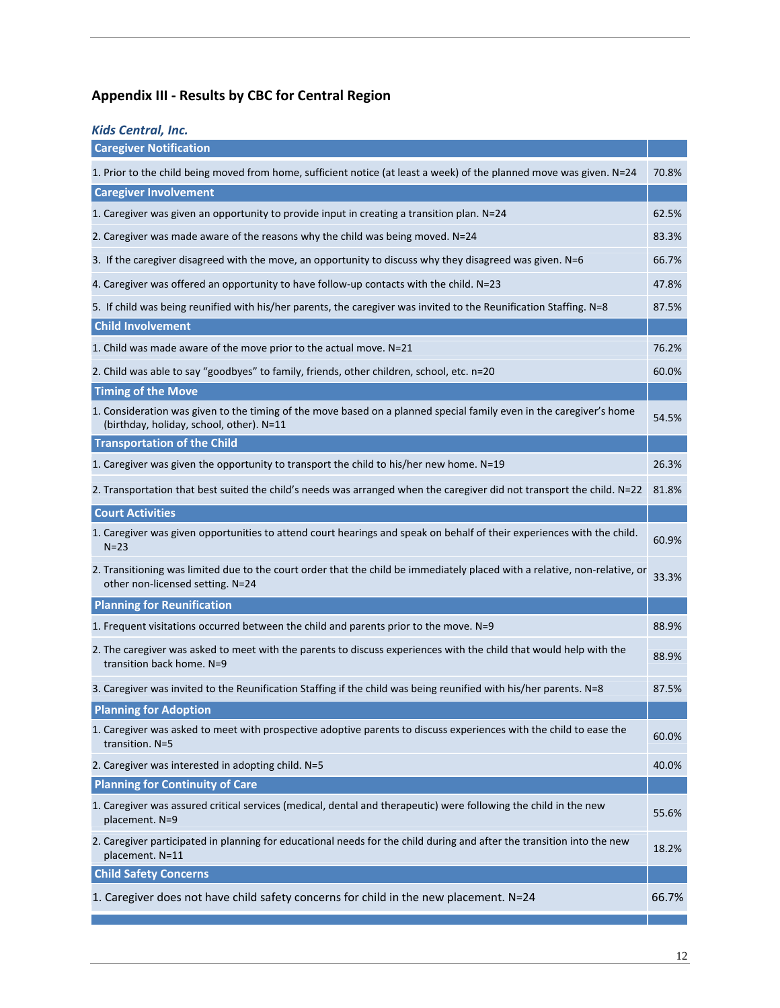# **Appendix III ‐ Results by CBC for Central Region**

| <b>Kids Central, Inc.</b>                                                                                                                                       |       |
|-----------------------------------------------------------------------------------------------------------------------------------------------------------------|-------|
| <b>Caregiver Notification</b>                                                                                                                                   |       |
| 1. Prior to the child being moved from home, sufficient notice (at least a week) of the planned move was given. N=24                                            | 70.8% |
| <b>Caregiver Involvement</b>                                                                                                                                    |       |
| 1. Caregiver was given an opportunity to provide input in creating a transition plan. N=24                                                                      | 62.5% |
| 2. Caregiver was made aware of the reasons why the child was being moved. N=24                                                                                  | 83.3% |
| 3. If the caregiver disagreed with the move, an opportunity to discuss why they disagreed was given. N=6                                                        | 66.7% |
| 4. Caregiver was offered an opportunity to have follow-up contacts with the child. N=23                                                                         | 47.8% |
| 5. If child was being reunified with his/her parents, the caregiver was invited to the Reunification Staffing. N=8                                              | 87.5% |
| <b>Child Involvement</b>                                                                                                                                        |       |
| 1. Child was made aware of the move prior to the actual move. N=21                                                                                              | 76.2% |
| 2. Child was able to say "goodbyes" to family, friends, other children, school, etc. n=20                                                                       | 60.0% |
| <b>Timing of the Move</b>                                                                                                                                       |       |
| 1. Consideration was given to the timing of the move based on a planned special family even in the caregiver's home<br>(birthday, holiday, school, other). N=11 | 54.5% |
| <b>Transportation of the Child</b>                                                                                                                              |       |
| 1. Caregiver was given the opportunity to transport the child to his/her new home. N=19                                                                         | 26.3% |
| 2. Transportation that best suited the child's needs was arranged when the caregiver did not transport the child. N=22                                          | 81.8% |
| <b>Court Activities</b>                                                                                                                                         |       |
| 1. Caregiver was given opportunities to attend court hearings and speak on behalf of their experiences with the child.<br>$N=23$                                | 60.9% |
| 2. Transitioning was limited due to the court order that the child be immediately placed with a relative, non-relative, or<br>other non-licensed setting. N=24  | 33.3% |
| <b>Planning for Reunification</b>                                                                                                                               |       |
| 1. Frequent visitations occurred between the child and parents prior to the move. N=9                                                                           | 88.9% |
| 2. The caregiver was asked to meet with the parents to discuss experiences with the child that would help with the<br>transition back home. N=9                 | 88.9% |
| 3. Caregiver was invited to the Reunification Staffing if the child was being reunified with his/her parents. N=8                                               | 87.5% |
| <b>Planning for Adoption</b>                                                                                                                                    |       |
| 1. Caregiver was asked to meet with prospective adoptive parents to discuss experiences with the child to ease the<br>transition. N=5                           | 60.0% |
| 2. Caregiver was interested in adopting child. N=5                                                                                                              | 40.0% |
| <b>Planning for Continuity of Care</b>                                                                                                                          |       |
| 1. Caregiver was assured critical services (medical, dental and therapeutic) were following the child in the new<br>placement. N=9                              | 55.6% |
| 2. Caregiver participated in planning for educational needs for the child during and after the transition into the new<br>placement. N=11                       | 18.2% |
| <b>Child Safety Concerns</b>                                                                                                                                    |       |
| 1. Caregiver does not have child safety concerns for child in the new placement. N=24                                                                           | 66.7% |
|                                                                                                                                                                 |       |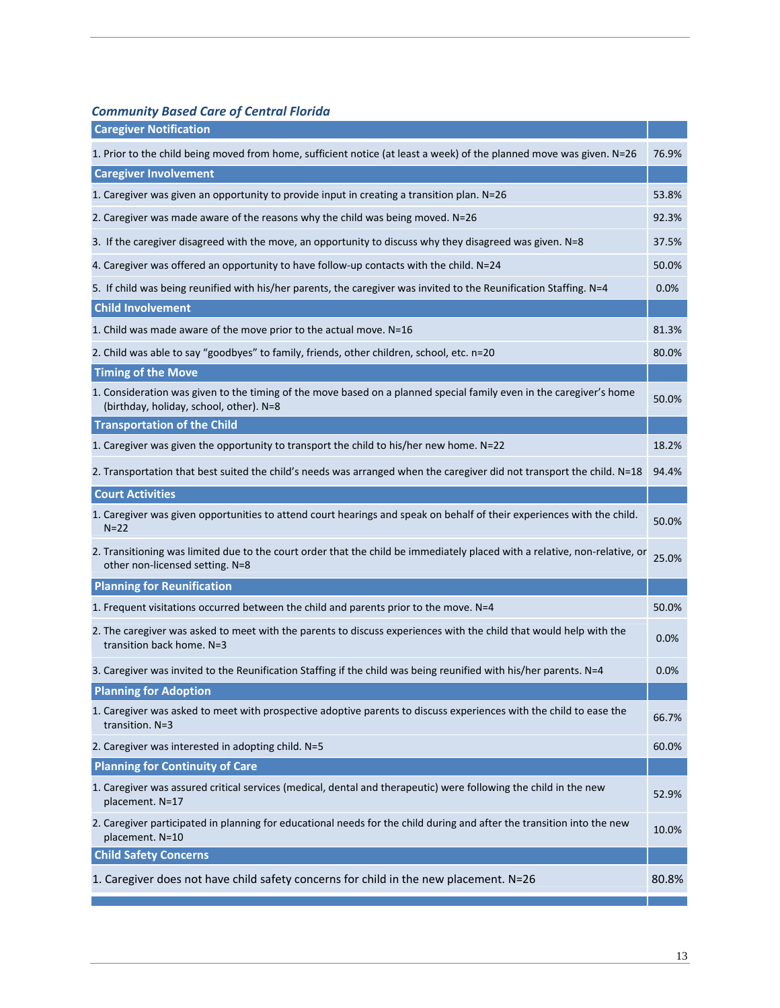*Community Based Care of Central Florida*

| <b>Caregiver Notification</b>                                                                                                                                  |       |
|----------------------------------------------------------------------------------------------------------------------------------------------------------------|-------|
| 1. Prior to the child being moved from home, sufficient notice (at least a week) of the planned move was given. N=26                                           | 76.9% |
| <b>Caregiver Involvement</b>                                                                                                                                   |       |
| 1. Caregiver was given an opportunity to provide input in creating a transition plan. N=26                                                                     | 53.8% |
| 2. Caregiver was made aware of the reasons why the child was being moved. N=26                                                                                 | 92.3% |
| 3. If the caregiver disagreed with the move, an opportunity to discuss why they disagreed was given. N=8                                                       | 37.5% |
| 4. Caregiver was offered an opportunity to have follow-up contacts with the child. N=24                                                                        | 50.0% |
| 5. If child was being reunified with his/her parents, the caregiver was invited to the Reunification Staffing. N=4                                             | 0.0%  |
| <b>Child Involvement</b>                                                                                                                                       |       |
| 1. Child was made aware of the move prior to the actual move. N=16                                                                                             | 81.3% |
| 2. Child was able to say "goodbyes" to family, friends, other children, school, etc. n=20                                                                      | 80.0% |
| <b>Timing of the Move</b>                                                                                                                                      |       |
| 1. Consideration was given to the timing of the move based on a planned special family even in the caregiver's home<br>(birthday, holiday, school, other). N=8 | 50.0% |
| <b>Transportation of the Child</b>                                                                                                                             |       |
| 1. Caregiver was given the opportunity to transport the child to his/her new home. N=22                                                                        | 18.2% |
| 2. Transportation that best suited the child's needs was arranged when the caregiver did not transport the child. N=18                                         | 94.4% |
| <b>Court Activities</b>                                                                                                                                        |       |
| 1. Caregiver was given opportunities to attend court hearings and speak on behalf of their experiences with the child.<br>$N=22$                               | 50.0% |
| 2. Transitioning was limited due to the court order that the child be immediately placed with a relative, non-relative, or<br>other non-licensed setting. N=8  | 25.0% |
| <b>Planning for Reunification</b>                                                                                                                              |       |
| 1. Frequent visitations occurred between the child and parents prior to the move. N=4                                                                          | 50.0% |
| 2. The caregiver was asked to meet with the parents to discuss experiences with the child that would help with the<br>transition back home. N=3                | 0.0%  |
| 3. Caregiver was invited to the Reunification Staffing if the child was being reunified with his/her parents. N=4                                              | 0.0%  |
| <b>Planning for Adoption</b>                                                                                                                                   |       |
| 1. Caregiver was asked to meet with prospective adoptive parents to discuss experiences with the child to ease the<br>transition. N=3                          | 66.7% |
| 2. Caregiver was interested in adopting child. N=5                                                                                                             | 60.0% |
| <b>Planning for Continuity of Care</b>                                                                                                                         |       |
| 1. Caregiver was assured critical services (medical, dental and therapeutic) were following the child in the new<br>placement. N=17                            | 52.9% |
| 2. Caregiver participated in planning for educational needs for the child during and after the transition into the new<br>placement. N=10                      | 10.0% |
| <b>Child Safety Concerns</b>                                                                                                                                   |       |
| 1. Caregiver does not have child safety concerns for child in the new placement. N=26                                                                          | 80.8% |
|                                                                                                                                                                |       |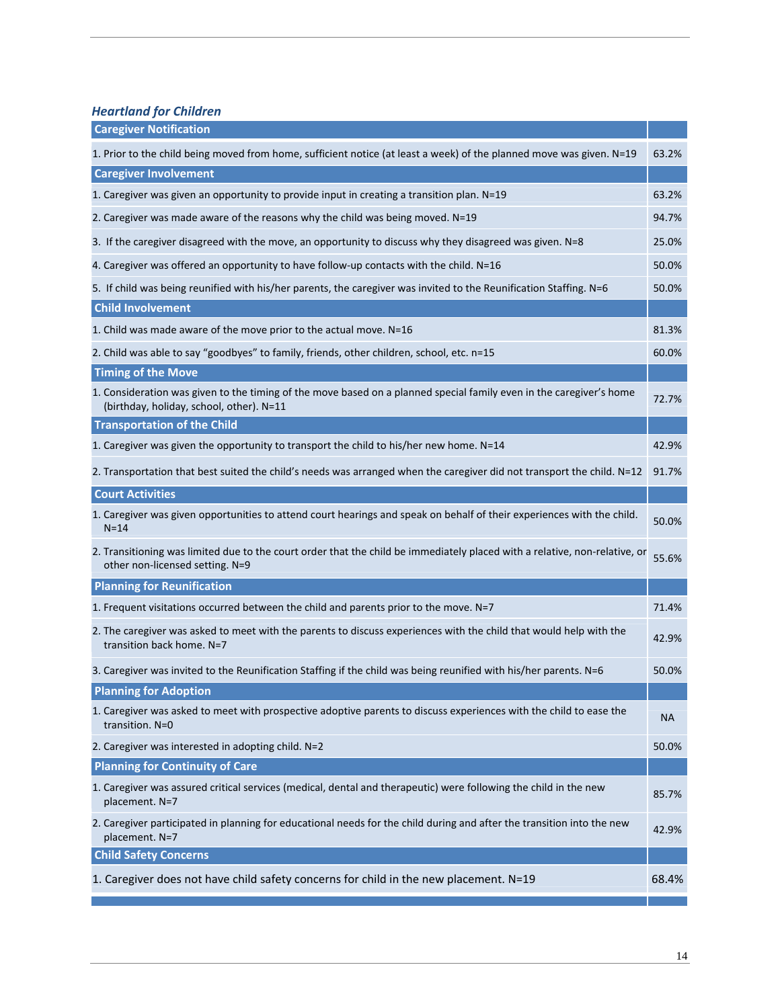*Heartland for Children*

| <b>Caregiver Notification</b>                                                                                                                                   |       |
|-----------------------------------------------------------------------------------------------------------------------------------------------------------------|-------|
| 1. Prior to the child being moved from home, sufficient notice (at least a week) of the planned move was given. N=19                                            | 63.2% |
| <b>Caregiver Involvement</b>                                                                                                                                    |       |
| 1. Caregiver was given an opportunity to provide input in creating a transition plan. N=19                                                                      | 63.2% |
| 2. Caregiver was made aware of the reasons why the child was being moved. N=19                                                                                  | 94.7% |
| 3. If the caregiver disagreed with the move, an opportunity to discuss why they disagreed was given. N=8                                                        | 25.0% |
| 4. Caregiver was offered an opportunity to have follow-up contacts with the child. N=16                                                                         | 50.0% |
| 5. If child was being reunified with his/her parents, the caregiver was invited to the Reunification Staffing. N=6                                              | 50.0% |
| <b>Child Involvement</b>                                                                                                                                        |       |
| 1. Child was made aware of the move prior to the actual move. N=16                                                                                              | 81.3% |
| 2. Child was able to say "goodbyes" to family, friends, other children, school, etc. n=15                                                                       | 60.0% |
| <b>Timing of the Move</b>                                                                                                                                       |       |
| 1. Consideration was given to the timing of the move based on a planned special family even in the caregiver's home<br>(birthday, holiday, school, other). N=11 | 72.7% |
| <b>Transportation of the Child</b>                                                                                                                              |       |
| 1. Caregiver was given the opportunity to transport the child to his/her new home. N=14                                                                         | 42.9% |
| 2. Transportation that best suited the child's needs was arranged when the caregiver did not transport the child. N=12                                          | 91.7% |
| <b>Court Activities</b>                                                                                                                                         |       |
| 1. Caregiver was given opportunities to attend court hearings and speak on behalf of their experiences with the child.<br>$N = 14$                              | 50.0% |
| 2. Transitioning was limited due to the court order that the child be immediately placed with a relative, non-relative, or<br>other non-licensed setting. N=9   | 55.6% |
| <b>Planning for Reunification</b>                                                                                                                               |       |
| 1. Frequent visitations occurred between the child and parents prior to the move. N=7                                                                           | 71.4% |
| 2. The caregiver was asked to meet with the parents to discuss experiences with the child that would help with the<br>transition back home. N=7                 | 42.9% |
| 3. Caregiver was invited to the Reunification Staffing if the child was being reunified with his/her parents. N=6                                               | 50.0% |
| <b>Planning for Adoption</b>                                                                                                                                    |       |
| 1. Caregiver was asked to meet with prospective adoptive parents to discuss experiences with the child to ease the<br>transition. N=0                           | NA    |
| 2. Caregiver was interested in adopting child. N=2                                                                                                              | 50.0% |
| <b>Planning for Continuity of Care</b>                                                                                                                          |       |
| 1. Caregiver was assured critical services (medical, dental and therapeutic) were following the child in the new<br>placement. N=7                              | 85.7% |
| 2. Caregiver participated in planning for educational needs for the child during and after the transition into the new<br>placement. N=7                        | 42.9% |
| <b>Child Safety Concerns</b>                                                                                                                                    |       |
| 1. Caregiver does not have child safety concerns for child in the new placement. N=19                                                                           | 68.4% |
|                                                                                                                                                                 |       |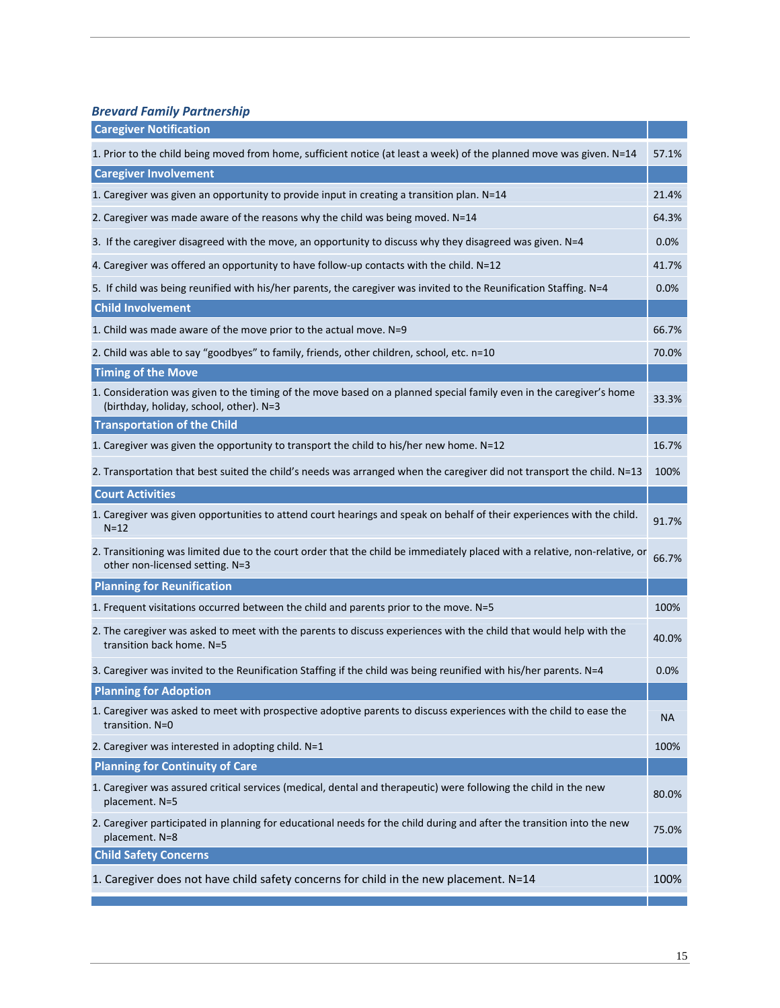*Brevard Family Partnership*

| <b>Caregiver Notification</b>                                                                                                                                  |       |
|----------------------------------------------------------------------------------------------------------------------------------------------------------------|-------|
| 1. Prior to the child being moved from home, sufficient notice (at least a week) of the planned move was given. N=14                                           | 57.1% |
| <b>Caregiver Involvement</b>                                                                                                                                   |       |
| 1. Caregiver was given an opportunity to provide input in creating a transition plan. N=14                                                                     | 21.4% |
| 2. Caregiver was made aware of the reasons why the child was being moved. N=14                                                                                 | 64.3% |
| 3. If the caregiver disagreed with the move, an opportunity to discuss why they disagreed was given. N=4                                                       | 0.0%  |
| 4. Caregiver was offered an opportunity to have follow-up contacts with the child. N=12                                                                        | 41.7% |
| 5. If child was being reunified with his/her parents, the caregiver was invited to the Reunification Staffing. N=4                                             | 0.0%  |
| <b>Child Involvement</b>                                                                                                                                       |       |
| 1. Child was made aware of the move prior to the actual move. N=9                                                                                              | 66.7% |
| 2. Child was able to say "goodbyes" to family, friends, other children, school, etc. n=10                                                                      | 70.0% |
| <b>Timing of the Move</b>                                                                                                                                      |       |
| 1. Consideration was given to the timing of the move based on a planned special family even in the caregiver's home<br>(birthday, holiday, school, other). N=3 | 33.3% |
| <b>Transportation of the Child</b>                                                                                                                             |       |
| 1. Caregiver was given the opportunity to transport the child to his/her new home. N=12                                                                        | 16.7% |
| 2. Transportation that best suited the child's needs was arranged when the caregiver did not transport the child. N=13                                         | 100%  |
| <b>Court Activities</b>                                                                                                                                        |       |
| 1. Caregiver was given opportunities to attend court hearings and speak on behalf of their experiences with the child.<br>$N=12$                               | 91.7% |
| 2. Transitioning was limited due to the court order that the child be immediately placed with a relative, non-relative, or<br>other non-licensed setting. N=3  | 66.7% |
| <b>Planning for Reunification</b>                                                                                                                              |       |
| 1. Frequent visitations occurred between the child and parents prior to the move. N=5                                                                          | 100%  |
| 2. The caregiver was asked to meet with the parents to discuss experiences with the child that would help with the<br>transition back home. N=5                | 40.0% |
| 3. Caregiver was invited to the Reunification Staffing if the child was being reunified with his/her parents. N=4                                              | 0.0%  |
| <b>Planning for Adoption</b>                                                                                                                                   |       |
| 1. Caregiver was asked to meet with prospective adoptive parents to discuss experiences with the child to ease the<br>transition. N=0                          | NA    |
| 2. Caregiver was interested in adopting child. N=1                                                                                                             | 100%  |
| <b>Planning for Continuity of Care</b>                                                                                                                         |       |
| 1. Caregiver was assured critical services (medical, dental and therapeutic) were following the child in the new<br>placement. N=5                             | 80.0% |
| 2. Caregiver participated in planning for educational needs for the child during and after the transition into the new<br>placement. N=8                       | 75.0% |
| <b>Child Safety Concerns</b>                                                                                                                                   |       |
| 1. Caregiver does not have child safety concerns for child in the new placement. N=14                                                                          | 100%  |
|                                                                                                                                                                |       |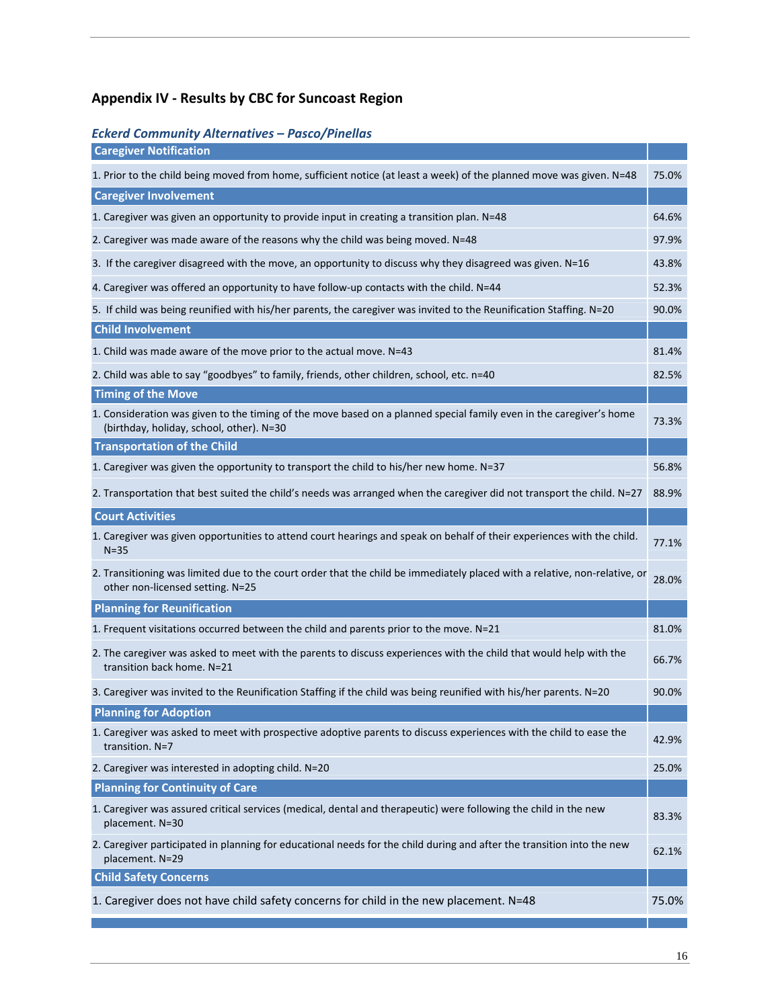## **Appendix IV ‐ Results by CBC for Suncoast Region**

### *Eckerd Community Alternatives – Pasco/Pinellas*

| <b>Caregiver Notification</b>                                                                                                                                   |       |
|-----------------------------------------------------------------------------------------------------------------------------------------------------------------|-------|
| 1. Prior to the child being moved from home, sufficient notice (at least a week) of the planned move was given. N=48                                            | 75.0% |
| <b>Caregiver Involvement</b>                                                                                                                                    |       |
| 1. Caregiver was given an opportunity to provide input in creating a transition plan. N=48                                                                      | 64.6% |
| 2. Caregiver was made aware of the reasons why the child was being moved. N=48                                                                                  | 97.9% |
| 3. If the caregiver disagreed with the move, an opportunity to discuss why they disagreed was given. N=16                                                       | 43.8% |
| 4. Caregiver was offered an opportunity to have follow-up contacts with the child. N=44                                                                         | 52.3% |
| 5. If child was being reunified with his/her parents, the caregiver was invited to the Reunification Staffing. N=20                                             | 90.0% |
| <b>Child Involvement</b>                                                                                                                                        |       |
| 1. Child was made aware of the move prior to the actual move. N=43                                                                                              | 81.4% |
| 2. Child was able to say "goodbyes" to family, friends, other children, school, etc. n=40                                                                       | 82.5% |
| <b>Timing of the Move</b>                                                                                                                                       |       |
| 1. Consideration was given to the timing of the move based on a planned special family even in the caregiver's home<br>(birthday, holiday, school, other). N=30 | 73.3% |
| <b>Transportation of the Child</b>                                                                                                                              |       |
| 1. Caregiver was given the opportunity to transport the child to his/her new home. N=37                                                                         | 56.8% |
| 2. Transportation that best suited the child's needs was arranged when the caregiver did not transport the child. N=27                                          | 88.9% |
| <b>Court Activities</b>                                                                                                                                         |       |
| 1. Caregiver was given opportunities to attend court hearings and speak on behalf of their experiences with the child.<br>$N = 35$                              | 77.1% |
| 2. Transitioning was limited due to the court order that the child be immediately placed with a relative, non-relative, or<br>other non-licensed setting. N=25  | 28.0% |
| <b>Planning for Reunification</b>                                                                                                                               |       |
| 1. Frequent visitations occurred between the child and parents prior to the move. N=21                                                                          | 81.0% |
| 2. The caregiver was asked to meet with the parents to discuss experiences with the child that would help with the<br>transition back home. N=21                | 66.7% |
| 3. Caregiver was invited to the Reunification Staffing if the child was being reunified with his/her parents. N=20                                              | 90.0% |
| <b>Planning for Adoption</b>                                                                                                                                    |       |
| 1. Caregiver was asked to meet with prospective adoptive parents to discuss experiences with the child to ease the<br>transition. N=7                           | 42.9% |
| 2. Caregiver was interested in adopting child. N=20                                                                                                             | 25.0% |
| <b>Planning for Continuity of Care</b>                                                                                                                          |       |
| 1. Caregiver was assured critical services (medical, dental and therapeutic) were following the child in the new<br>placement. N=30                             | 83.3% |
| 2. Caregiver participated in planning for educational needs for the child during and after the transition into the new<br>placement. N=29                       | 62.1% |
| <b>Child Safety Concerns</b>                                                                                                                                    |       |
| 1. Caregiver does not have child safety concerns for child in the new placement. N=48                                                                           | 75.0% |
|                                                                                                                                                                 |       |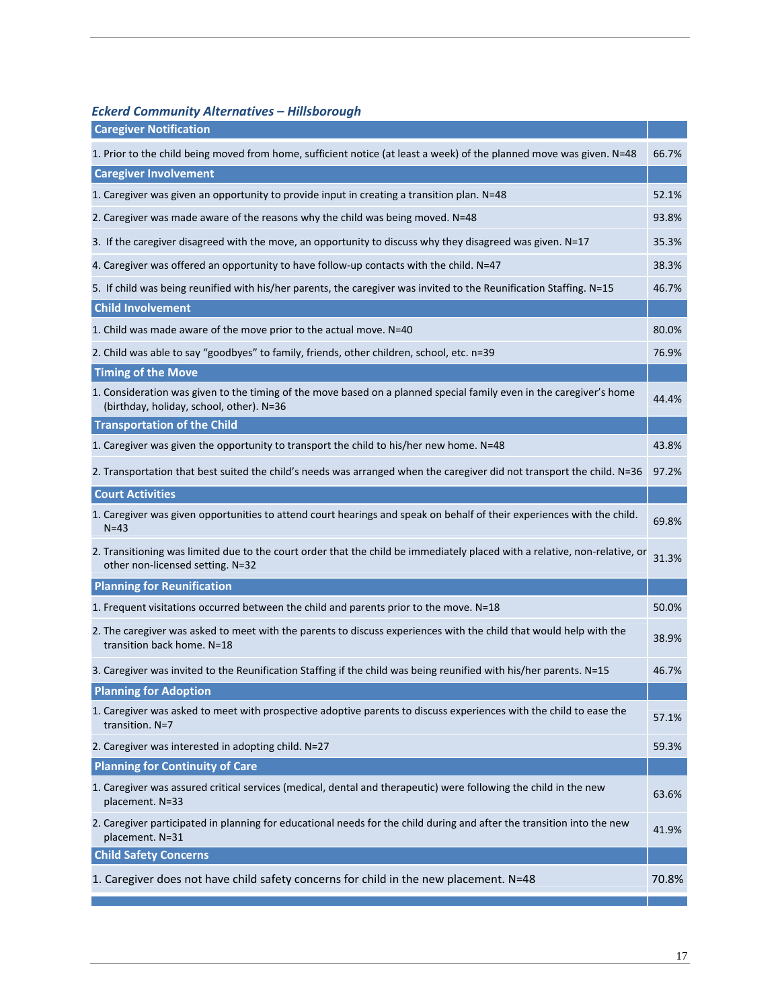### *Eckerd Community Alternatives – Hillsborough*

| <b>Caregiver Notification</b>                                                                                                                                   |       |
|-----------------------------------------------------------------------------------------------------------------------------------------------------------------|-------|
| 1. Prior to the child being moved from home, sufficient notice (at least a week) of the planned move was given. N=48                                            | 66.7% |
| <b>Caregiver Involvement</b>                                                                                                                                    |       |
| 1. Caregiver was given an opportunity to provide input in creating a transition plan. N=48                                                                      | 52.1% |
| 2. Caregiver was made aware of the reasons why the child was being moved. N=48                                                                                  | 93.8% |
| 3. If the caregiver disagreed with the move, an opportunity to discuss why they disagreed was given. N=17                                                       | 35.3% |
| 4. Caregiver was offered an opportunity to have follow-up contacts with the child. N=47                                                                         | 38.3% |
| 5. If child was being reunified with his/her parents, the caregiver was invited to the Reunification Staffing. N=15                                             | 46.7% |
| <b>Child Involvement</b>                                                                                                                                        |       |
| 1. Child was made aware of the move prior to the actual move. N=40                                                                                              | 80.0% |
| 2. Child was able to say "goodbyes" to family, friends, other children, school, etc. n=39                                                                       | 76.9% |
| <b>Timing of the Move</b>                                                                                                                                       |       |
| 1. Consideration was given to the timing of the move based on a planned special family even in the caregiver's home<br>(birthday, holiday, school, other). N=36 | 44.4% |
| <b>Transportation of the Child</b>                                                                                                                              |       |
| 1. Caregiver was given the opportunity to transport the child to his/her new home. N=48                                                                         | 43.8% |
| 2. Transportation that best suited the child's needs was arranged when the caregiver did not transport the child. N=36                                          | 97.2% |
| <b>Court Activities</b>                                                                                                                                         |       |
| 1. Caregiver was given opportunities to attend court hearings and speak on behalf of their experiences with the child.<br>$N=43$                                | 69.8% |
| 2. Transitioning was limited due to the court order that the child be immediately placed with a relative, non-relative, or<br>other non-licensed setting. N=32  | 31.3% |
| <b>Planning for Reunification</b>                                                                                                                               |       |
| 1. Frequent visitations occurred between the child and parents prior to the move. N=18                                                                          | 50.0% |
| 2. The caregiver was asked to meet with the parents to discuss experiences with the child that would help with the<br>transition back home. N=18                | 38.9% |
| 3. Caregiver was invited to the Reunification Staffing if the child was being reunified with his/her parents. N=15                                              | 46.7% |
| <b>Planning for Adoption</b>                                                                                                                                    |       |
| 1. Caregiver was asked to meet with prospective adoptive parents to discuss experiences with the child to ease the<br>transition. N=7                           | 57.1% |
| 2. Caregiver was interested in adopting child. N=27                                                                                                             | 59.3% |
| <b>Planning for Continuity of Care</b>                                                                                                                          |       |
| 1. Caregiver was assured critical services (medical, dental and therapeutic) were following the child in the new<br>placement. N=33                             | 63.6% |
| 2. Caregiver participated in planning for educational needs for the child during and after the transition into the new<br>placement. N=31                       | 41.9% |
| <b>Child Safety Concerns</b>                                                                                                                                    |       |
| 1. Caregiver does not have child safety concerns for child in the new placement. N=48                                                                           | 70.8% |
|                                                                                                                                                                 |       |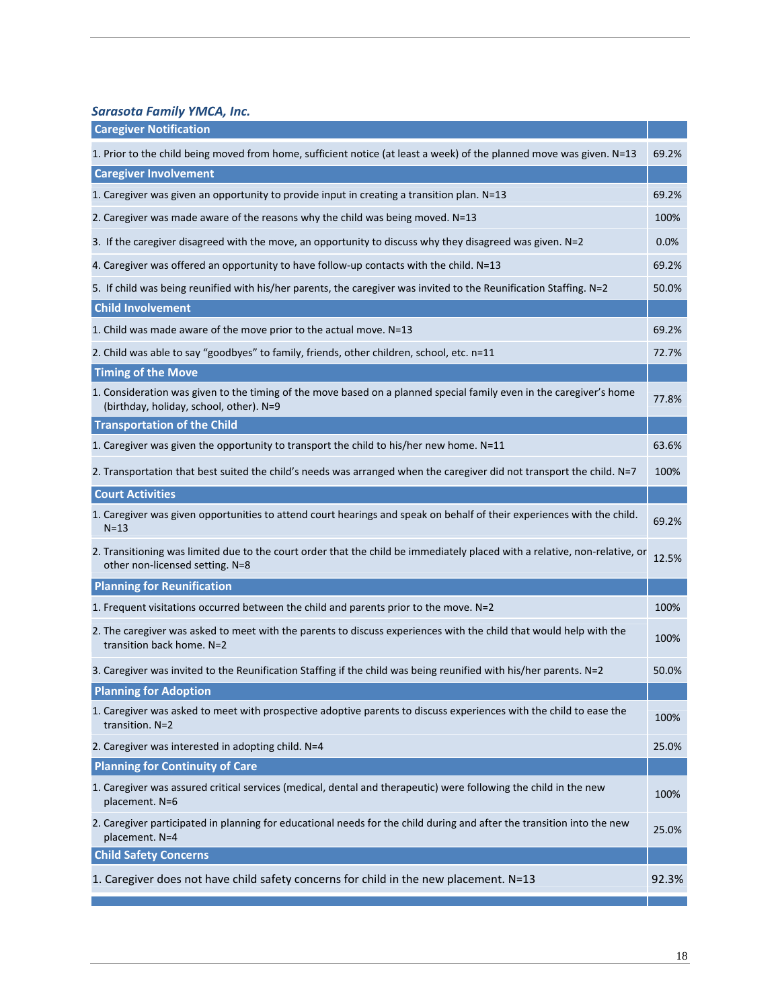*Sarasota Family YMCA, Inc.*

| <b>Caregiver Notification</b>                                                                                                                                  |       |
|----------------------------------------------------------------------------------------------------------------------------------------------------------------|-------|
| 1. Prior to the child being moved from home, sufficient notice (at least a week) of the planned move was given. N=13                                           | 69.2% |
| <b>Caregiver Involvement</b>                                                                                                                                   |       |
| 1. Caregiver was given an opportunity to provide input in creating a transition plan. N=13                                                                     | 69.2% |
| 2. Caregiver was made aware of the reasons why the child was being moved. N=13                                                                                 | 100%  |
| 3. If the caregiver disagreed with the move, an opportunity to discuss why they disagreed was given. N=2                                                       | 0.0%  |
| 4. Caregiver was offered an opportunity to have follow-up contacts with the child. N=13                                                                        | 69.2% |
| 5. If child was being reunified with his/her parents, the caregiver was invited to the Reunification Staffing. N=2                                             | 50.0% |
| <b>Child Involvement</b>                                                                                                                                       |       |
| 1. Child was made aware of the move prior to the actual move. N=13                                                                                             | 69.2% |
| 2. Child was able to say "goodbyes" to family, friends, other children, school, etc. n=11                                                                      | 72.7% |
| <b>Timing of the Move</b>                                                                                                                                      |       |
| 1. Consideration was given to the timing of the move based on a planned special family even in the caregiver's home<br>(birthday, holiday, school, other). N=9 | 77.8% |
| <b>Transportation of the Child</b>                                                                                                                             |       |
| 1. Caregiver was given the opportunity to transport the child to his/her new home. N=11                                                                        | 63.6% |
| 2. Transportation that best suited the child's needs was arranged when the caregiver did not transport the child. N=7                                          | 100%  |
| <b>Court Activities</b>                                                                                                                                        |       |
| 1. Caregiver was given opportunities to attend court hearings and speak on behalf of their experiences with the child.<br>$N = 13$                             | 69.2% |
| 2. Transitioning was limited due to the court order that the child be immediately placed with a relative, non-relative, or<br>other non-licensed setting. N=8  | 12.5% |
| <b>Planning for Reunification</b>                                                                                                                              |       |
| 1. Frequent visitations occurred between the child and parents prior to the move. N=2                                                                          | 100%  |
| 2. The caregiver was asked to meet with the parents to discuss experiences with the child that would help with the<br>transition back home. N=2                | 100%  |
| 3. Caregiver was invited to the Reunification Staffing if the child was being reunified with his/her parents. N=2                                              | 50.0% |
| <b>Planning for Adoption</b>                                                                                                                                   |       |
| 1. Caregiver was asked to meet with prospective adoptive parents to discuss experiences with the child to ease the<br>transition. N=2                          | 100%  |
| 2. Caregiver was interested in adopting child. N=4                                                                                                             | 25.0% |
| <b>Planning for Continuity of Care</b>                                                                                                                         |       |
| 1. Caregiver was assured critical services (medical, dental and therapeutic) were following the child in the new<br>placement. N=6                             | 100%  |
| 2. Caregiver participated in planning for educational needs for the child during and after the transition into the new<br>placement. N=4                       | 25.0% |
| <b>Child Safety Concerns</b>                                                                                                                                   |       |
| 1. Caregiver does not have child safety concerns for child in the new placement. N=13                                                                          | 92.3% |
|                                                                                                                                                                |       |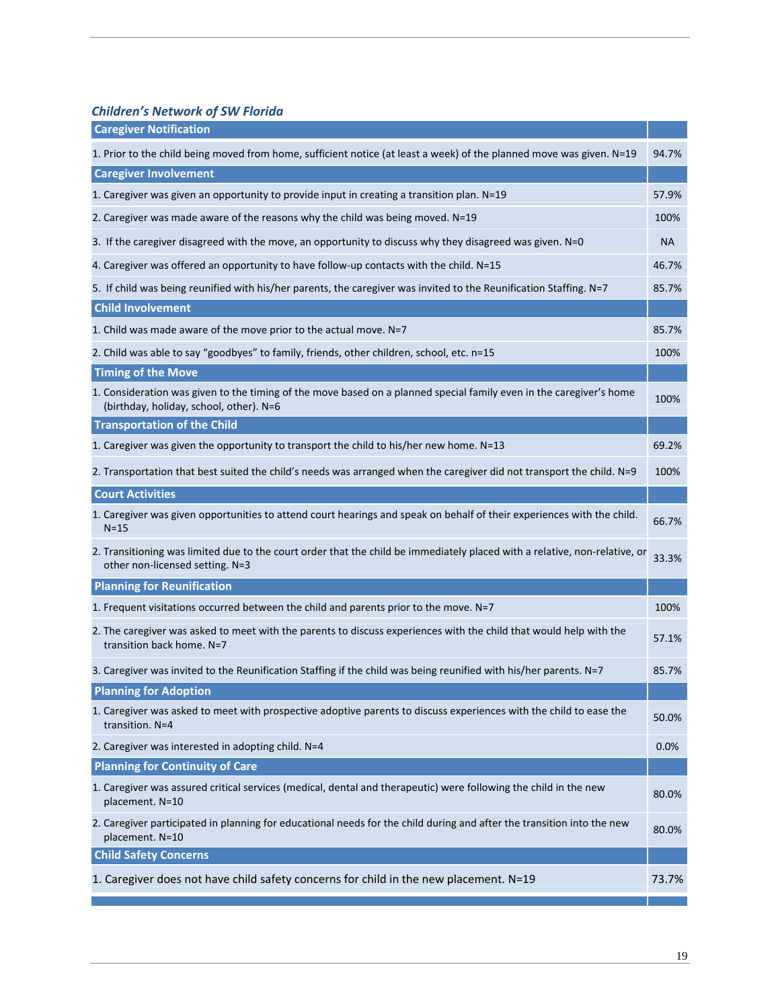*Children's Network of SW Florida*

| <b>Caregiver Notification</b>                                                                                                                                  |       |
|----------------------------------------------------------------------------------------------------------------------------------------------------------------|-------|
| 1. Prior to the child being moved from home, sufficient notice (at least a week) of the planned move was given. N=19                                           | 94.7% |
| <b>Caregiver Involvement</b>                                                                                                                                   |       |
| 1. Caregiver was given an opportunity to provide input in creating a transition plan. N=19                                                                     | 57.9% |
| 2. Caregiver was made aware of the reasons why the child was being moved. N=19                                                                                 | 100%  |
| 3. If the caregiver disagreed with the move, an opportunity to discuss why they disagreed was given. N=0                                                       | NА    |
| 4. Caregiver was offered an opportunity to have follow-up contacts with the child. N=15                                                                        | 46.7% |
| 5. If child was being reunified with his/her parents, the caregiver was invited to the Reunification Staffing. N=7                                             | 85.7% |
| <b>Child Involvement</b>                                                                                                                                       |       |
| 1. Child was made aware of the move prior to the actual move. N=7                                                                                              | 85.7% |
| 2. Child was able to say "goodbyes" to family, friends, other children, school, etc. n=15                                                                      | 100%  |
| <b>Timing of the Move</b>                                                                                                                                      |       |
| 1. Consideration was given to the timing of the move based on a planned special family even in the caregiver's home<br>(birthday, holiday, school, other). N=6 | 100%  |
| <b>Transportation of the Child</b>                                                                                                                             |       |
| 1. Caregiver was given the opportunity to transport the child to his/her new home. N=13                                                                        | 69.2% |
| 2. Transportation that best suited the child's needs was arranged when the caregiver did not transport the child. N=9                                          | 100%  |
| <b>Court Activities</b>                                                                                                                                        |       |
| 1. Caregiver was given opportunities to attend court hearings and speak on behalf of their experiences with the child.<br>$N = 15$                             | 66.7% |
| 2. Transitioning was limited due to the court order that the child be immediately placed with a relative, non-relative, or<br>other non-licensed setting. N=3  | 33.3% |
| <b>Planning for Reunification</b>                                                                                                                              |       |
| 1. Frequent visitations occurred between the child and parents prior to the move. N=7                                                                          | 100%  |
| 2. The caregiver was asked to meet with the parents to discuss experiences with the child that would help with the<br>transition back home. N=7                | 57.1% |
| 3. Caregiver was invited to the Reunification Staffing if the child was being reunified with his/her parents. N=7                                              | 85.7% |
| <b>Planning for Adoption</b>                                                                                                                                   |       |
| 1. Caregiver was asked to meet with prospective adoptive parents to discuss experiences with the child to ease the<br>transition. N=4                          | 50.0% |
| 2. Caregiver was interested in adopting child. N=4                                                                                                             | 0.0%  |
| <b>Planning for Continuity of Care</b>                                                                                                                         |       |
| 1. Caregiver was assured critical services (medical, dental and therapeutic) were following the child in the new<br>placement. N=10                            | 80.0% |
| 2. Caregiver participated in planning for educational needs for the child during and after the transition into the new<br>placement. N=10                      | 80.0% |
| <b>Child Safety Concerns</b>                                                                                                                                   |       |
| 1. Caregiver does not have child safety concerns for child in the new placement. N=19                                                                          | 73.7% |
|                                                                                                                                                                |       |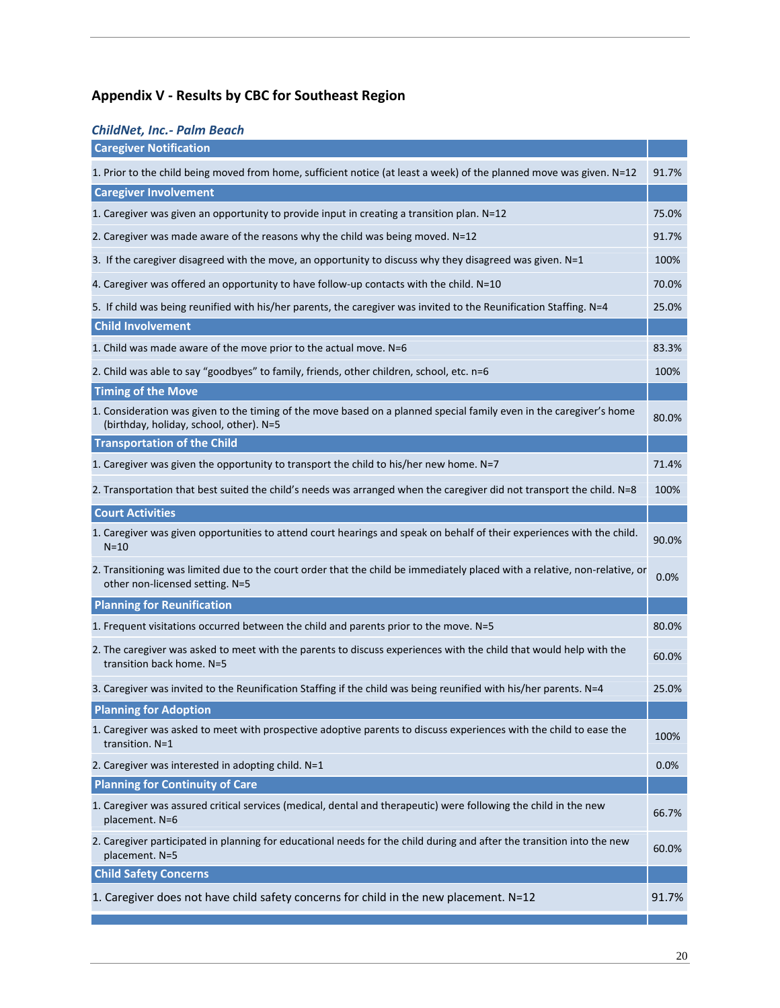# **Appendix V ‐ Results by CBC for Southeast Region**

## *ChildNet, Inc.‐ Palm Beach*

| <b>Caregiver Notification</b>                                                                                                                                  |       |
|----------------------------------------------------------------------------------------------------------------------------------------------------------------|-------|
| 1. Prior to the child being moved from home, sufficient notice (at least a week) of the planned move was given. N=12                                           | 91.7% |
| <b>Caregiver Involvement</b>                                                                                                                                   |       |
| 1. Caregiver was given an opportunity to provide input in creating a transition plan. N=12                                                                     | 75.0% |
| 2. Caregiver was made aware of the reasons why the child was being moved. N=12                                                                                 | 91.7% |
| 3. If the caregiver disagreed with the move, an opportunity to discuss why they disagreed was given. N=1                                                       | 100%  |
| 4. Caregiver was offered an opportunity to have follow-up contacts with the child. N=10                                                                        | 70.0% |
| 5. If child was being reunified with his/her parents, the caregiver was invited to the Reunification Staffing. N=4                                             | 25.0% |
| <b>Child Involvement</b>                                                                                                                                       |       |
| 1. Child was made aware of the move prior to the actual move. N=6                                                                                              | 83.3% |
| 2. Child was able to say "goodbyes" to family, friends, other children, school, etc. n=6                                                                       | 100%  |
| <b>Timing of the Move</b>                                                                                                                                      |       |
| 1. Consideration was given to the timing of the move based on a planned special family even in the caregiver's home<br>(birthday, holiday, school, other). N=5 | 80.0% |
| <b>Transportation of the Child</b>                                                                                                                             |       |
| 1. Caregiver was given the opportunity to transport the child to his/her new home. N=7                                                                         | 71.4% |
| 2. Transportation that best suited the child's needs was arranged when the caregiver did not transport the child. N=8                                          | 100%  |
| <b>Court Activities</b>                                                                                                                                        |       |
| 1. Caregiver was given opportunities to attend court hearings and speak on behalf of their experiences with the child.<br>$N = 10$                             | 90.0% |
| 2. Transitioning was limited due to the court order that the child be immediately placed with a relative, non-relative, or<br>other non-licensed setting. N=5  | 0.0%  |
| <b>Planning for Reunification</b>                                                                                                                              |       |
| 1. Frequent visitations occurred between the child and parents prior to the move. N=5                                                                          | 80.0% |
| 2. The caregiver was asked to meet with the parents to discuss experiences with the child that would help with the<br>transition back home. N=5                | 60.0% |
| 3. Caregiver was invited to the Reunification Staffing if the child was being reunified with his/her parents. N=4                                              | 25.0% |
| <b>Planning for Adoption</b>                                                                                                                                   |       |
| 1. Caregiver was asked to meet with prospective adoptive parents to discuss experiences with the child to ease the<br>transition. N=1                          | 100%  |
| 2. Caregiver was interested in adopting child. N=1                                                                                                             | 0.0%  |
| <b>Planning for Continuity of Care</b>                                                                                                                         |       |
| 1. Caregiver was assured critical services (medical, dental and therapeutic) were following the child in the new<br>placement. N=6                             | 66.7% |
| 2. Caregiver participated in planning for educational needs for the child during and after the transition into the new<br>placement. N=5                       | 60.0% |
| <b>Child Safety Concerns</b>                                                                                                                                   |       |
| 1. Caregiver does not have child safety concerns for child in the new placement. N=12                                                                          | 91.7% |
|                                                                                                                                                                |       |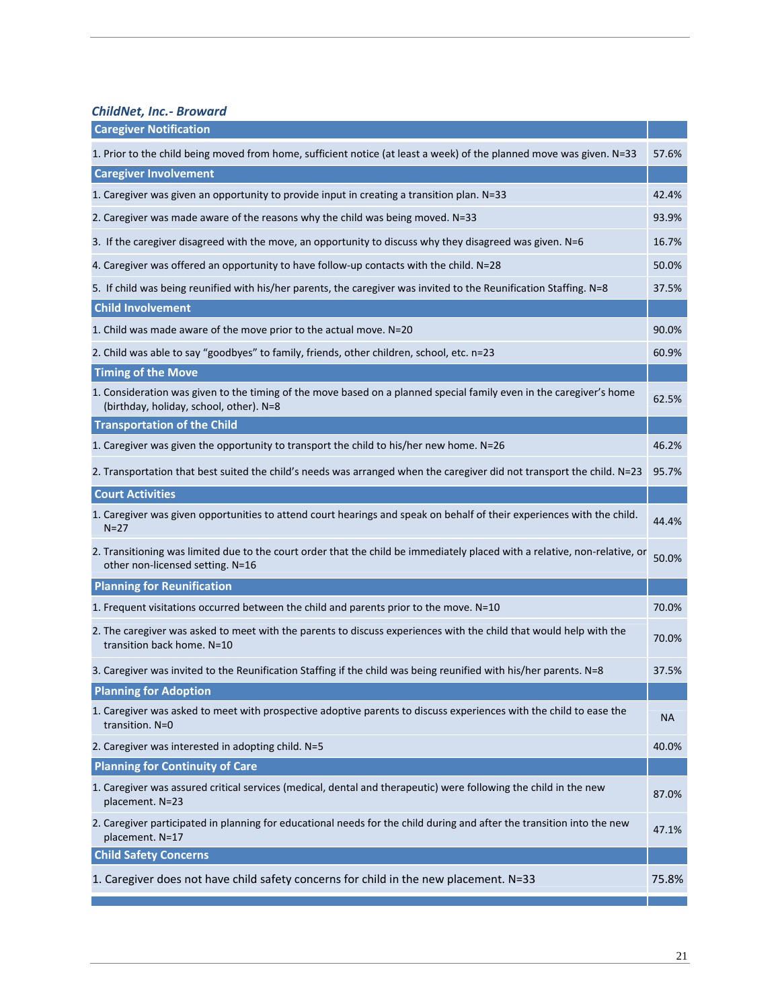*ChildNet, Inc.‐ Broward*

| <b>Caregiver Notification</b>                                                                                                                                  |           |
|----------------------------------------------------------------------------------------------------------------------------------------------------------------|-----------|
| 1. Prior to the child being moved from home, sufficient notice (at least a week) of the planned move was given. N=33                                           | 57.6%     |
| <b>Caregiver Involvement</b>                                                                                                                                   |           |
| 1. Caregiver was given an opportunity to provide input in creating a transition plan. N=33                                                                     | 42.4%     |
| 2. Caregiver was made aware of the reasons why the child was being moved. N=33                                                                                 | 93.9%     |
| 3. If the caregiver disagreed with the move, an opportunity to discuss why they disagreed was given. N=6                                                       | 16.7%     |
| 4. Caregiver was offered an opportunity to have follow-up contacts with the child. N=28                                                                        | 50.0%     |
| 5. If child was being reunified with his/her parents, the caregiver was invited to the Reunification Staffing. N=8                                             | 37.5%     |
| <b>Child Involvement</b>                                                                                                                                       |           |
| 1. Child was made aware of the move prior to the actual move. N=20                                                                                             | 90.0%     |
| 2. Child was able to say "goodbyes" to family, friends, other children, school, etc. n=23                                                                      | 60.9%     |
| <b>Timing of the Move</b>                                                                                                                                      |           |
| 1. Consideration was given to the timing of the move based on a planned special family even in the caregiver's home<br>(birthday, holiday, school, other). N=8 | 62.5%     |
| <b>Transportation of the Child</b>                                                                                                                             |           |
| 1. Caregiver was given the opportunity to transport the child to his/her new home. N=26                                                                        | 46.2%     |
| 2. Transportation that best suited the child's needs was arranged when the caregiver did not transport the child. N=23                                         | 95.7%     |
| <b>Court Activities</b>                                                                                                                                        |           |
| 1. Caregiver was given opportunities to attend court hearings and speak on behalf of their experiences with the child.<br>$N = 27$                             | 44.4%     |
| 2. Transitioning was limited due to the court order that the child be immediately placed with a relative, non-relative, or<br>other non-licensed setting. N=16 | 50.0%     |
| <b>Planning for Reunification</b>                                                                                                                              |           |
| 1. Frequent visitations occurred between the child and parents prior to the move. N=10                                                                         | 70.0%     |
| 2. The caregiver was asked to meet with the parents to discuss experiences with the child that would help with the<br>transition back home. N=10               | 70.0%     |
| 3. Caregiver was invited to the Reunification Staffing if the child was being reunified with his/her parents. N=8                                              | 37.5%     |
| <b>Planning for Adoption</b>                                                                                                                                   |           |
| 1. Caregiver was asked to meet with prospective adoptive parents to discuss experiences with the child to ease the<br>transition. N=0                          | <b>NA</b> |
| 2. Caregiver was interested in adopting child. N=5                                                                                                             | 40.0%     |
| <b>Planning for Continuity of Care</b>                                                                                                                         |           |
| 1. Caregiver was assured critical services (medical, dental and therapeutic) were following the child in the new<br>placement. N=23                            | 87.0%     |
| 2. Caregiver participated in planning for educational needs for the child during and after the transition into the new<br>placement. N=17                      | 47.1%     |
| <b>Child Safety Concerns</b>                                                                                                                                   |           |
| 1. Caregiver does not have child safety concerns for child in the new placement. N=33                                                                          | 75.8%     |
|                                                                                                                                                                |           |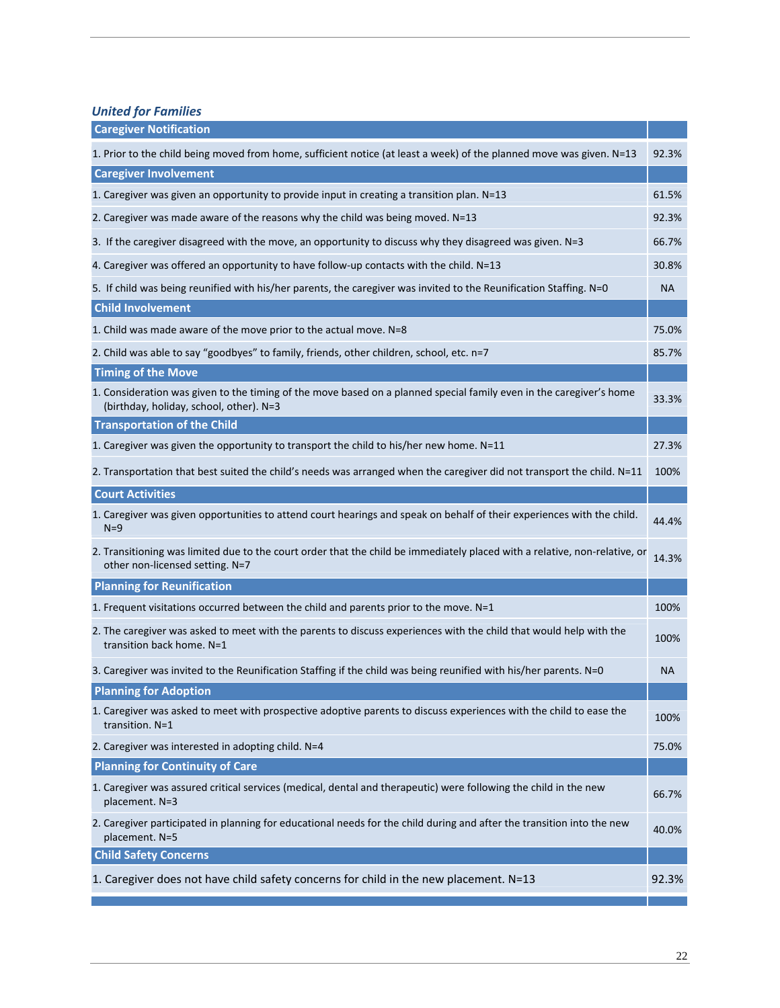*United for Families*

| <b>Caregiver Notification</b>                                                                                                                                  |           |
|----------------------------------------------------------------------------------------------------------------------------------------------------------------|-----------|
| 1. Prior to the child being moved from home, sufficient notice (at least a week) of the planned move was given. N=13                                           | 92.3%     |
| <b>Caregiver Involvement</b>                                                                                                                                   |           |
| 1. Caregiver was given an opportunity to provide input in creating a transition plan. N=13                                                                     | 61.5%     |
| 2. Caregiver was made aware of the reasons why the child was being moved. N=13                                                                                 | 92.3%     |
| 3. If the caregiver disagreed with the move, an opportunity to discuss why they disagreed was given. N=3                                                       | 66.7%     |
| 4. Caregiver was offered an opportunity to have follow-up contacts with the child. N=13                                                                        | 30.8%     |
| 5. If child was being reunified with his/her parents, the caregiver was invited to the Reunification Staffing. N=0                                             | <b>NA</b> |
| <b>Child Involvement</b>                                                                                                                                       |           |
| 1. Child was made aware of the move prior to the actual move. N=8                                                                                              | 75.0%     |
| 2. Child was able to say "goodbyes" to family, friends, other children, school, etc. n=7                                                                       | 85.7%     |
| <b>Timing of the Move</b>                                                                                                                                      |           |
| 1. Consideration was given to the timing of the move based on a planned special family even in the caregiver's home<br>(birthday, holiday, school, other). N=3 | 33.3%     |
| <b>Transportation of the Child</b>                                                                                                                             |           |
| 1. Caregiver was given the opportunity to transport the child to his/her new home. N=11                                                                        | 27.3%     |
| 2. Transportation that best suited the child's needs was arranged when the caregiver did not transport the child. N=11                                         | 100%      |
| <b>Court Activities</b>                                                                                                                                        |           |
| 1. Caregiver was given opportunities to attend court hearings and speak on behalf of their experiences with the child.<br>$N=9$                                | 44.4%     |
| 2. Transitioning was limited due to the court order that the child be immediately placed with a relative, non-relative, or<br>other non-licensed setting. N=7  | 14.3%     |
| <b>Planning for Reunification</b>                                                                                                                              |           |
| 1. Frequent visitations occurred between the child and parents prior to the move. N=1                                                                          | 100%      |
| 2. The caregiver was asked to meet with the parents to discuss experiences with the child that would help with the<br>transition back home. N=1                | 100%      |
| 3. Caregiver was invited to the Reunification Staffing if the child was being reunified with his/her parents. N=0                                              | NA        |
| <b>Planning for Adoption</b>                                                                                                                                   |           |
| 1. Caregiver was asked to meet with prospective adoptive parents to discuss experiences with the child to ease the<br>transition. N=1                          | 100%      |
| 2. Caregiver was interested in adopting child. N=4                                                                                                             | 75.0%     |
| <b>Planning for Continuity of Care</b>                                                                                                                         |           |
| 1. Caregiver was assured critical services (medical, dental and therapeutic) were following the child in the new<br>placement. N=3                             | 66.7%     |
| 2. Caregiver participated in planning for educational needs for the child during and after the transition into the new<br>placement. N=5                       | 40.0%     |
| <b>Child Safety Concerns</b>                                                                                                                                   |           |
| 1. Caregiver does not have child safety concerns for child in the new placement. N=13                                                                          | 92.3%     |
|                                                                                                                                                                |           |